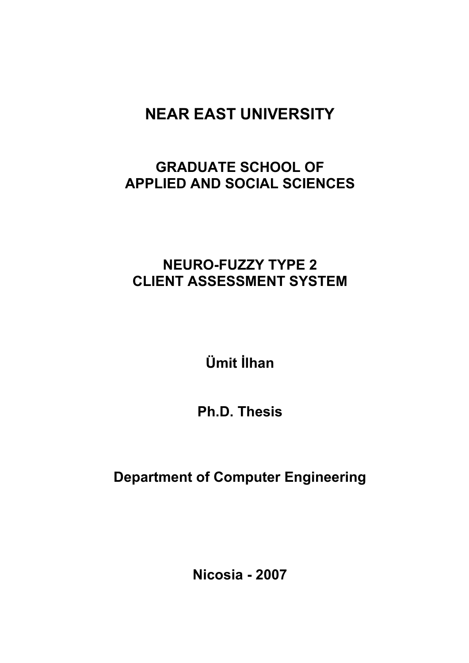# **NEAR EAST UNIVERSITY**

# **GRADUATE SCHOOL OF APPLIED AND SOCIAL SCIENCES**

# **NEURO-FUZZY TYPE 2 CLIENT ASSESSMENT SYSTEM**

**Ümit İlhan** 

**Ph.D. Thesis** 

**Department of Computer Engineering** 

**Nicosia - 2007**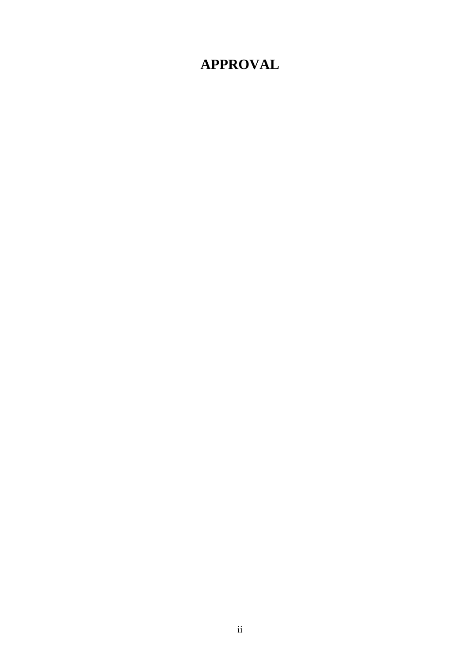# **APPROVAL**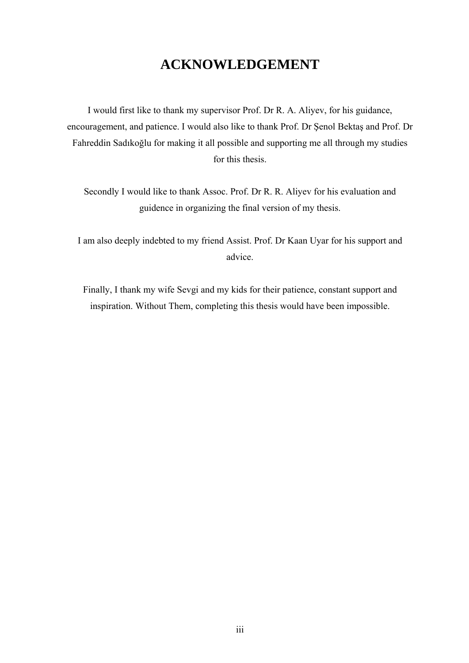## **ACKNOWLEDGEMENT**

I would first like to thank my supervisor Prof. Dr R. A. Aliyev, for his guidance, encouragement, and patience. I would also like to thank Prof. Dr Şenol Bektaş and Prof. Dr Fahreddin Sadıkoğlu for making it all possible and supporting me all through my studies for this thesis.

Secondly I would like to thank Assoc. Prof. Dr R. R. Aliyev for his evaluation and guidence in organizing the final version of my thesis.

I am also deeply indebted to my friend Assist. Prof. Dr Kaan Uyar for his support and advice.

Finally, I thank my wife Sevgi and my kids for their patience, constant support and inspiration. Without Them, completing this thesis would have been impossible.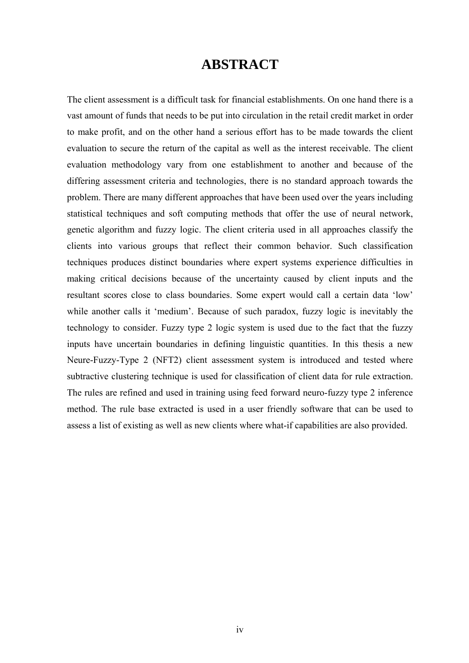## **ABSTRACT**

The client assessment is a difficult task for financial establishments. On one hand there is a vast amount of funds that needs to be put into circulation in the retail credit market in order to make profit, and on the other hand a serious effort has to be made towards the client evaluation to secure the return of the capital as well as the interest receivable. The client evaluation methodology vary from one establishment to another and because of the differing assessment criteria and technologies, there is no standard approach towards the problem. There are many different approaches that have been used over the years including statistical techniques and soft computing methods that offer the use of neural network, genetic algorithm and fuzzy logic. The client criteria used in all approaches classify the clients into various groups that reflect their common behavior. Such classification techniques produces distinct boundaries where expert systems experience difficulties in making critical decisions because of the uncertainty caused by client inputs and the resultant scores close to class boundaries. Some expert would call a certain data 'low' while another calls it 'medium'. Because of such paradox, fuzzy logic is inevitably the technology to consider. Fuzzy type 2 logic system is used due to the fact that the fuzzy inputs have uncertain boundaries in defining linguistic quantities. In this thesis a new Neure-Fuzzy-Type 2 (NFT2) client assessment system is introduced and tested where subtractive clustering technique is used for classification of client data for rule extraction. The rules are refined and used in training using feed forward neuro-fuzzy type 2 inference method. The rule base extracted is used in a user friendly software that can be used to assess a list of existing as well as new clients where what-if capabilities are also provided.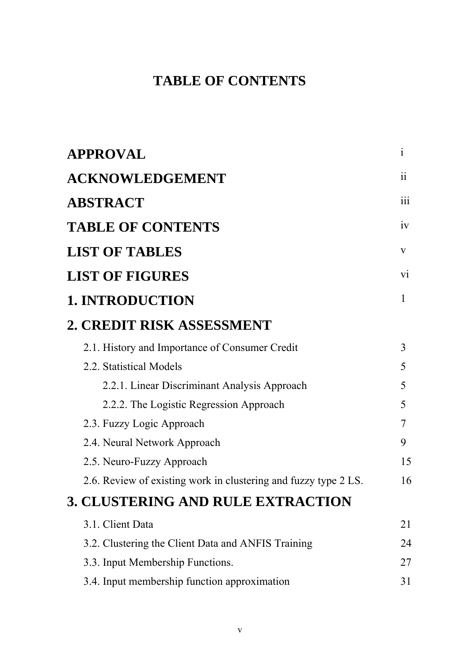# **TABLE OF CONTENTS**

| <b>APPROVAL</b>                                                 | $\mathbf{i}$     |
|-----------------------------------------------------------------|------------------|
| <b>ACKNOWLEDGEMENT</b>                                          | 11               |
| <b>ABSTRACT</b>                                                 | $\overline{111}$ |
| <b>TABLE OF CONTENTS</b>                                        | iv               |
| <b>LIST OF TABLES</b>                                           | V                |
| <b>LIST OF FIGURES</b>                                          | $\overline{vi}$  |
| <b>1. INTRODUCTION</b>                                          | 1                |
| 2. CREDIT RISK ASSESSMENT                                       |                  |
| 2.1. History and Importance of Consumer Credit                  | 3                |
| 2.2. Statistical Models                                         | 5                |
| 2.2.1. Linear Discriminant Analysis Approach                    | 5                |
| 2.2.2. The Logistic Regression Approach                         | 5                |
| 2.3. Fuzzy Logic Approach                                       | 7                |
| 2.4. Neural Network Approach                                    | 9                |
| 2.5. Neuro-Fuzzy Approach                                       | 15               |
| 2.6. Review of existing work in clustering and fuzzy type 2 LS. | 16               |
| <b>3. CLUSTERING AND RULE EXTRACTION</b>                        |                  |
| 3.1. Client Data                                                | 21               |
| 3.2. Clustering the Client Data and ANFIS Training              | 24               |
| 3.3. Input Membership Functions.                                | 27               |
| 3.4. Input membership function approximation                    | 31               |
|                                                                 |                  |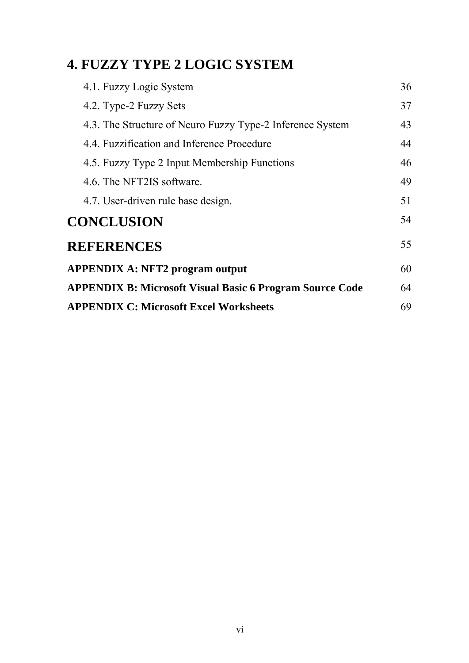# **4. FUZZY TYPE 2 LOGIC SYSTEM**

| 4.1. Fuzzy Logic System                                         | 36 |
|-----------------------------------------------------------------|----|
| 4.2. Type-2 Fuzzy Sets                                          | 37 |
| 4.3. The Structure of Neuro Fuzzy Type-2 Inference System       | 43 |
| 4.4. Fuzzification and Inference Procedure                      | 44 |
| 4.5. Fuzzy Type 2 Input Membership Functions                    | 46 |
| 4.6. The NFT2IS software.                                       | 49 |
| 4.7. User-driven rule base design.                              | 51 |
| <b>CONCLUSION</b>                                               | 54 |
| <b>REFERENCES</b>                                               | 55 |
| <b>APPENDIX A: NFT2 program output</b>                          | 60 |
| <b>APPENDIX B: Microsoft Visual Basic 6 Program Source Code</b> | 64 |
| <b>APPENDIX C: Microsoft Excel Worksheets</b>                   | 69 |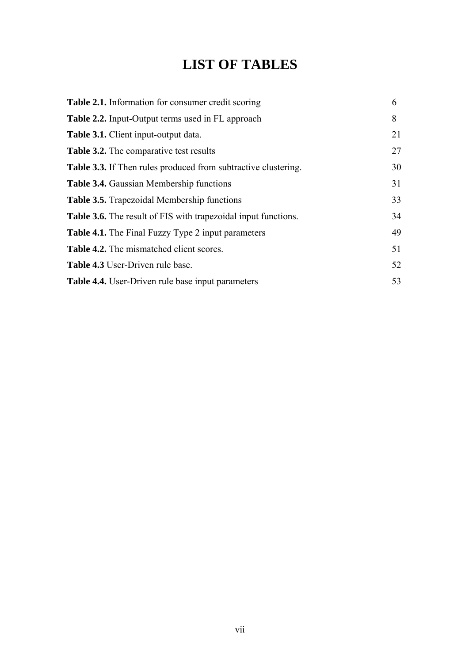# **LIST OF TABLES**

| <b>Table 2.1.</b> Information for consumer credit scoring             | 6  |
|-----------------------------------------------------------------------|----|
| <b>Table 2.2.</b> Input-Output terms used in FL approach              | 8  |
| <b>Table 3.1.</b> Client input-output data.                           | 21 |
| Table 3.2. The comparative test results                               | 27 |
| <b>Table 3.3.</b> If Then rules produced from subtractive clustering. | 30 |
| <b>Table 3.4.</b> Gaussian Membership functions                       | 31 |
| Table 3.5. Trapezoidal Membership functions                           | 33 |
| <b>Table 3.6.</b> The result of FIS with trapezoidal input functions. | 34 |
| <b>Table 4.1.</b> The Final Fuzzy Type 2 input parameters             | 49 |
| <b>Table 4.2.</b> The mismatched client scores.                       | 51 |
| Table 4.3 User-Driven rule base.                                      | 52 |
| <b>Table 4.4.</b> User-Driven rule base input parameters              | 53 |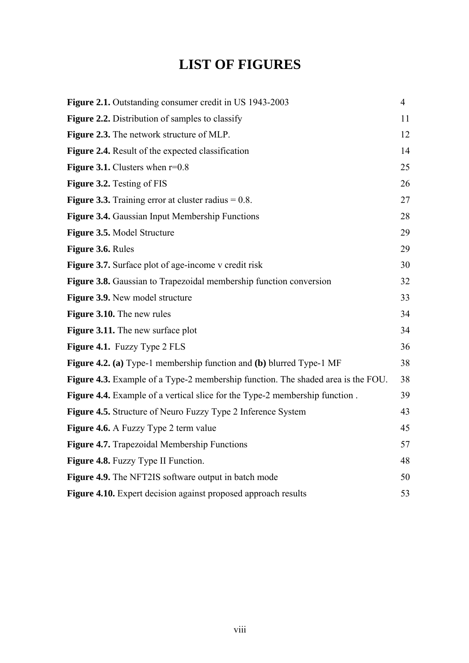# **LIST OF FIGURES**

| Figure 2.1. Outstanding consumer credit in US 1943-2003                                 | $\overline{4}$ |
|-----------------------------------------------------------------------------------------|----------------|
| <b>Figure 2.2.</b> Distribution of samples to classify                                  | 11             |
| <b>Figure 2.3.</b> The network structure of MLP.                                        | 12             |
| <b>Figure 2.4.</b> Result of the expected classification                                | 14             |
| <b>Figure 3.1.</b> Clusters when $r=0.8$                                                | 25             |
| <b>Figure 3.2.</b> Testing of FIS                                                       | 26             |
| <b>Figure 3.3.</b> Training error at cluster radius $= 0.8$ .                           | 27             |
| Figure 3.4. Gaussian Input Membership Functions                                         | 28             |
| Figure 3.5. Model Structure                                                             | 29             |
| Figure 3.6. Rules                                                                       | 29             |
| <b>Figure 3.7.</b> Surface plot of age-income v credit risk                             | 30             |
| <b>Figure 3.8.</b> Gaussian to Trapezoidal membership function conversion               | 32             |
| <b>Figure 3.9.</b> New model structure                                                  | 33             |
| <b>Figure 3.10.</b> The new rules                                                       | 34             |
| Figure 3.11. The new surface plot                                                       | 34             |
| Figure 4.1. Fuzzy Type 2 FLS                                                            | 36             |
| Figure 4.2. (a) Type-1 membership function and (b) blurred Type-1 MF                    | 38             |
| <b>Figure 4.3.</b> Example of a Type-2 membership function. The shaded area is the FOU. | 38             |
| <b>Figure 4.4.</b> Example of a vertical slice for the Type-2 membership function.      | 39             |
| <b>Figure 4.5.</b> Structure of Neuro Fuzzy Type 2 Inference System                     | 43             |
| Figure 4.6. A Fuzzy Type 2 term value                                                   | 45             |
| <b>Figure 4.7.</b> Trapezoidal Membership Functions                                     | 57             |
| <b>Figure 4.8.</b> Fuzzy Type II Function.                                              | 48             |
| Figure 4.9. The NFT2IS software output in batch mode                                    | 50             |
| Figure 4.10. Expert decision against proposed approach results                          | 53             |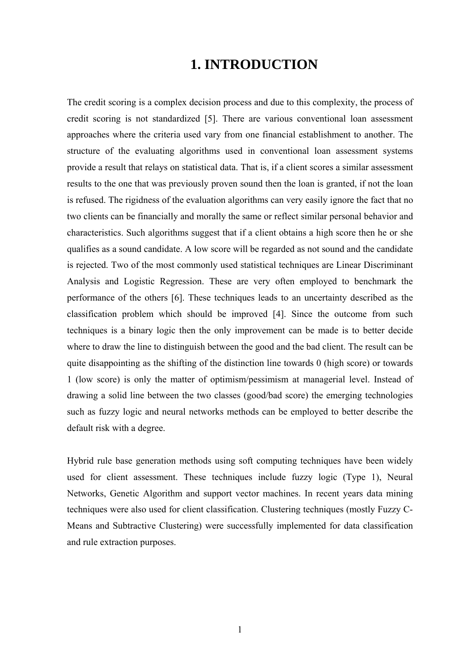## **1. INTRODUCTION**

The credit scoring is a complex decision process and due to this complexity, the process of credit scoring is not standardized [5]. There are various conventional loan assessment approaches where the criteria used vary from one financial establishment to another. The structure of the evaluating algorithms used in conventional loan assessment systems provide a result that relays on statistical data. That is, if a client scores a similar assessment results to the one that was previously proven sound then the loan is granted, if not the loan is refused. The rigidness of the evaluation algorithms can very easily ignore the fact that no two clients can be financially and morally the same or reflect similar personal behavior and characteristics. Such algorithms suggest that if a client obtains a high score then he or she qualifies as a sound candidate. A low score will be regarded as not sound and the candidate is rejected. Two of the most commonly used statistical techniques are Linear Discriminant Analysis and Logistic Regression. These are very often employed to benchmark the performance of the others [6]. These techniques leads to an uncertainty described as the classification problem which should be improved [4]. Since the outcome from such techniques is a binary logic then the only improvement can be made is to better decide where to draw the line to distinguish between the good and the bad client. The result can be quite disappointing as the shifting of the distinction line towards 0 (high score) or towards 1 (low score) is only the matter of optimism/pessimism at managerial level. Instead of drawing a solid line between the two classes (good/bad score) the emerging technologies such as fuzzy logic and neural networks methods can be employed to better describe the default risk with a degree.

Hybrid rule base generation methods using soft computing techniques have been widely used for client assessment. These techniques include fuzzy logic (Type 1), Neural Networks, Genetic Algorithm and support vector machines. In recent years data mining techniques were also used for client classification. Clustering techniques (mostly Fuzzy C-Means and Subtractive Clustering) were successfully implemented for data classification and rule extraction purposes.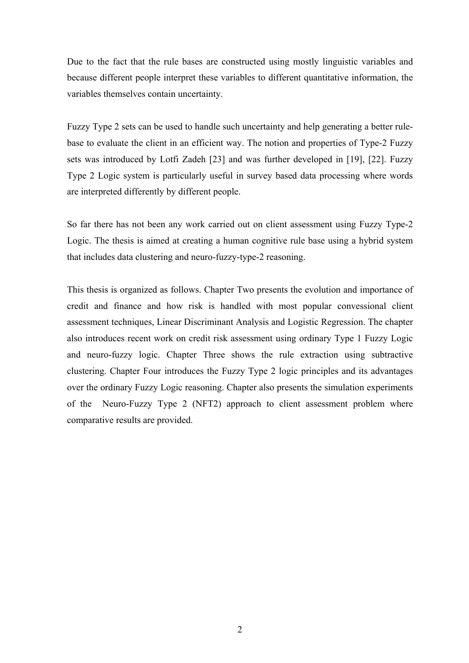Due to the fact that the rule bases are constructed using mostly linguistic variables and because different people interpret these variables to different quantitative information, the variables themselves contain uncertainty.

Fuzzy Type 2 sets can be used to handle such uncertainty and help generating a better rulebase to evaluate the client in an efficient way. The notion and properties of Type-2 Fuzzy sets was introduced by Lotfi Zadeh [23] and was further developed in [19], [22]. Fuzzy Type 2 Logic system is particularly useful in survey based data processing where words are interpreted differently by different people.

So far there has not been any work carried out on client assessment using Fuzzy Type-2 Logic. The thesis is aimed at creating a human cognitive rule base using a hybrid system that includes data clustering and neuro-fuzzy-type-2 reasoning.

This thesis is organized as follows. Chapter Two presents the evolution and importance of credit and finance and how risk is handled with most popular convessional client assessment techniques, Linear Discriminant Analysis and Logistic Regression. The chapter also introduces recent work on credit risk assessment using ordinary Type 1 Fuzzy Logic and neuro-fuzzy logic. Chapter Three shows the rule extraction using subtractive clustering. Chapter Four introduces the Fuzzy Type 2 logic principles and its advantages over the ordinary Fuzzy Logic reasoning. Chapter also presents the simulation experiments of the Neuro-Fuzzy Type 2 (NFT2) approach to client assessment problem where comparative results are provided.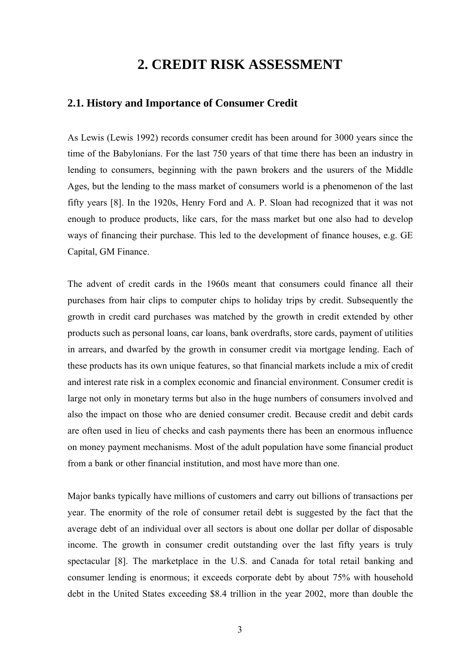## **2. CREDIT RISK ASSESSMENT**

### **2.1. History and Importance of Consumer Credit**

As Lewis (Lewis 1992) records consumer credit has been around for 3000 years since the time of the Babylonians. For the last 750 years of that time there has been an industry in lending to consumers, beginning with the pawn brokers and the usurers of the Middle Ages, but the lending to the mass market of consumers world is a phenomenon of the last fifty years [8]. In the 1920s, Henry Ford and A. P. Sloan had recognized that it was not enough to produce products, like cars, for the mass market but one also had to develop ways of financing their purchase. This led to the development of finance houses, e.g. GE Capital, GM Finance.

The advent of credit cards in the 1960s meant that consumers could finance all their purchases from hair clips to computer chips to holiday trips by credit. Subsequently the growth in credit card purchases was matched by the growth in credit extended by other products such as personal loans, car loans, bank overdrafts, store cards, payment of utilities in arrears, and dwarfed by the growth in consumer credit via mortgage lending. Each of these products has its own unique features, so that financial markets include a mix of credit and interest rate risk in a complex economic and financial environment. Consumer credit is large not only in monetary terms but also in the huge numbers of consumers involved and also the impact on those who are denied consumer credit. Because credit and debit cards are often used in lieu of checks and cash payments there has been an enormous influence on money payment mechanisms. Most of the adult population have some financial product from a bank or other financial institution, and most have more than one.

Major banks typically have millions of customers and carry out billions of transactions per year. The enormity of the role of consumer retail debt is suggested by the fact that the average debt of an individual over all sectors is about one dollar per dollar of disposable income. The growth in consumer credit outstanding over the last fifty years is truly spectacular [8]. The marketplace in the U.S. and Canada for total retail banking and consumer lending is enormous; it exceeds corporate debt by about 75% with household debt in the United States exceeding \$8.4 trillion in the year 2002, more than double the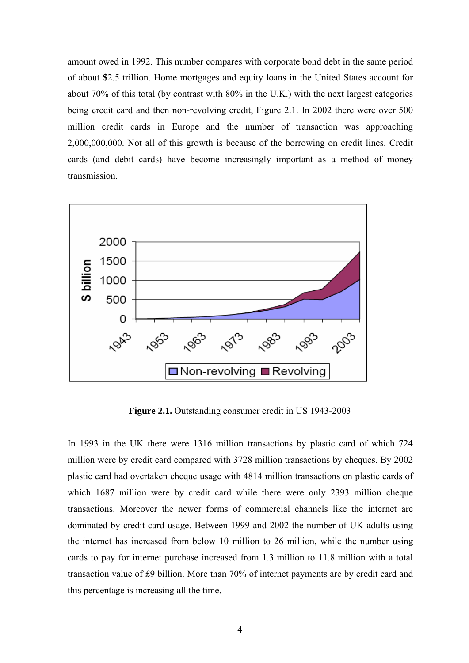amount owed in 1992. This number compares with corporate bond debt in the same period of about **\$**2.5 trillion. Home mortgages and equity loans in the United States account for about 70% of this total (by contrast with 80% in the U.K.) with the next largest categories being credit card and then non-revolving credit, Figure 2.1. In 2002 there were over 500 million credit cards in Europe and the number of transaction was approaching 2,000,000,000. Not all of this growth is because of the borrowing on credit lines. Credit cards (and debit cards) have become increasingly important as a method of money transmission.



**Figure 2.1.** Outstanding consumer credit in US 1943-2003

In 1993 in the UK there were 1316 million transactions by plastic card of which 724 million were by credit card compared with 3728 million transactions by cheques. By 2002 plastic card had overtaken cheque usage with 4814 million transactions on plastic cards of which 1687 million were by credit card while there were only 2393 million cheque transactions. Moreover the newer forms of commercial channels like the internet are dominated by credit card usage. Between 1999 and 2002 the number of UK adults using the internet has increased from below 10 million to 26 million, while the number using cards to pay for internet purchase increased from 1.3 million to 11.8 million with a total transaction value of £9 billion. More than 70% of internet payments are by credit card and this percentage is increasing all the time.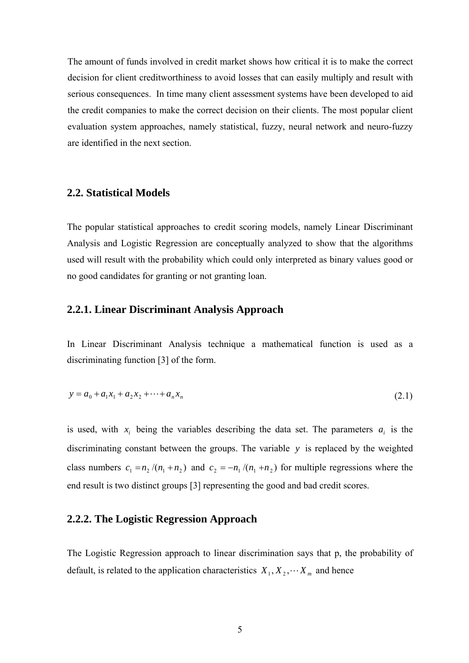The amount of funds involved in credit market shows how critical it is to make the correct decision for client creditworthiness to avoid losses that can easily multiply and result with serious consequences. In time many client assessment systems have been developed to aid the credit companies to make the correct decision on their clients. The most popular client evaluation system approaches, namely statistical, fuzzy, neural network and neuro-fuzzy are identified in the next section.

#### **2.2. Statistical Models**

The popular statistical approaches to credit scoring models, namely Linear Discriminant Analysis and Logistic Regression are conceptually analyzed to show that the algorithms used will result with the probability which could only interpreted as binary values good or no good candidates for granting or not granting loan.

### **2.2.1. Linear Discriminant Analysis Approach**

In Linear Discriminant Analysis technique a mathematical function is used as a discriminating function [3] of the form.

$$
y = a_0 + a_1 x_1 + a_2 x_2 + \dots + a_n x_n \tag{2.1}
$$

is used, with  $x_i$  being the variables describing the data set. The parameters  $a_i$  is the discriminating constant between the groups. The variable *y* is replaced by the weighted class numbers  $c_1 = n_2 / (n_1 + n_2)$  and  $c_2 = -n_1 / (n_1 + n_2)$  for multiple regressions where the end result is two distinct groups [3] representing the good and bad credit scores.

#### **2.2.2. The Logistic Regression Approach**

The Logistic Regression approach to linear discrimination says that p, the probability of default, is related to the application characteristics  $X_1, X_2, \cdots X_m$  and hence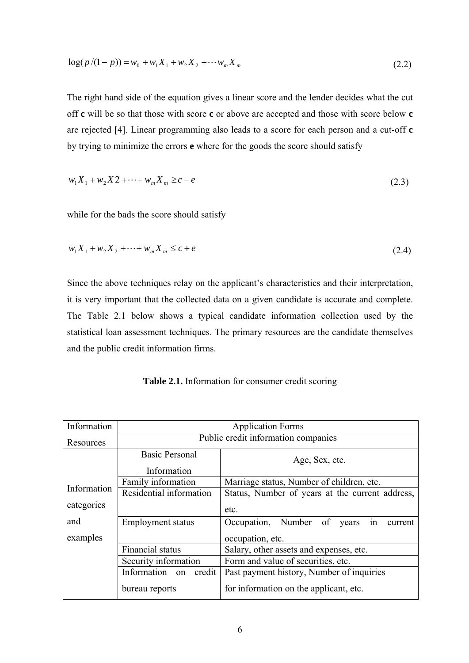$$
\log(p/(1-p)) = w_0 + w_1 X_1 + w_2 X_2 + \cdots + w_m X_m
$$
\n(2.2)

The right hand side of the equation gives a linear score and the lender decides what the cut off **c** will be so that those with score **c** or above are accepted and those with score below **c** are rejected [4]. Linear programming also leads to a score for each person and a cut-off **c** by trying to minimize the errors **e** where for the goods the score should satisfy

$$
w_1 X_1 + w_2 X 2 + \dots + w_m X_m \ge c - e \tag{2.3}
$$

while for the bads the score should satisfy

$$
w_1 X_1 + w_2 X_2 + \dots + w_m X_m \le c + e \tag{2.4}
$$

Since the above techniques relay on the applicant's characteristics and their interpretation, it is very important that the collected data on a given candidate is accurate and complete. The Table 2.1 below shows a typical candidate information collection used by the statistical loan assessment techniques. The primary resources are the candidate themselves and the public credit information firms.

**Table 2.1.** Information for consumer credit scoring

| Information                                      | <b>Application Forms</b>    |                                                                        |  |  |  |  |  |  |
|--------------------------------------------------|-----------------------------|------------------------------------------------------------------------|--|--|--|--|--|--|
| Public credit information companies<br>Resources |                             |                                                                        |  |  |  |  |  |  |
| <b>Basic Personal</b><br>Age, Sex, etc.          |                             |                                                                        |  |  |  |  |  |  |
|                                                  | Information                 |                                                                        |  |  |  |  |  |  |
|                                                  | Family information          | Marriage status, Number of children, etc.                              |  |  |  |  |  |  |
| Information                                      | Residential information     | Status, Number of years at the current address,                        |  |  |  |  |  |  |
| categories                                       |                             | etc.                                                                   |  |  |  |  |  |  |
| and                                              | <b>Employment status</b>    | $\overline{\text{in}}$<br>Number of<br>Occupation,<br>years<br>current |  |  |  |  |  |  |
| examples                                         |                             | occupation, etc.                                                       |  |  |  |  |  |  |
|                                                  | <b>Financial</b> status     | Salary, other assets and expenses, etc.                                |  |  |  |  |  |  |
|                                                  | Security information        | Form and value of securities, etc.                                     |  |  |  |  |  |  |
|                                                  | Information<br>credit<br>on | Past payment history, Number of inquiries                              |  |  |  |  |  |  |
|                                                  | bureau reports              | for information on the applicant, etc.                                 |  |  |  |  |  |  |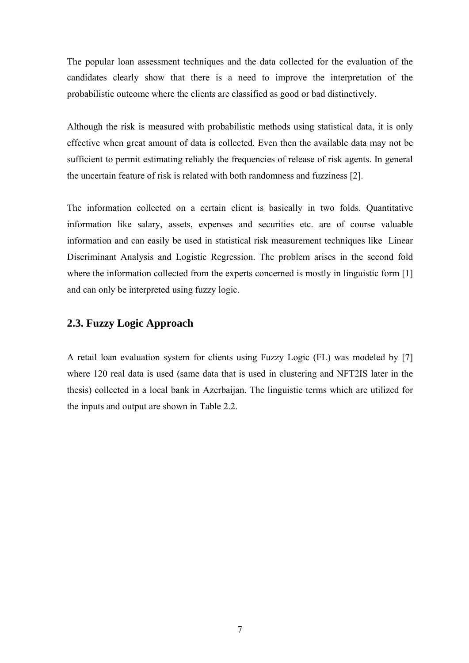The popular loan assessment techniques and the data collected for the evaluation of the candidates clearly show that there is a need to improve the interpretation of the probabilistic outcome where the clients are classified as good or bad distinctively.

Although the risk is measured with probabilistic methods using statistical data, it is only effective when great amount of data is collected. Even then the available data may not be sufficient to permit estimating reliably the frequencies of release of risk agents. In general the uncertain feature of risk is related with both randomness and fuzziness [2].

The information collected on a certain client is basically in two folds. Quantitative information like salary, assets, expenses and securities etc. are of course valuable information and can easily be used in statistical risk measurement techniques like Linear Discriminant Analysis and Logistic Regression. The problem arises in the second fold where the information collected from the experts concerned is mostly in linguistic form [1] and can only be interpreted using fuzzy logic.

### **2.3. Fuzzy Logic Approach**

A retail loan evaluation system for clients using Fuzzy Logic (FL) was modeled by [7] where 120 real data is used (same data that is used in clustering and NFT2IS later in the thesis) collected in a local bank in Azerbaijan. The linguistic terms which are utilized for the inputs and output are shown in Table 2.2.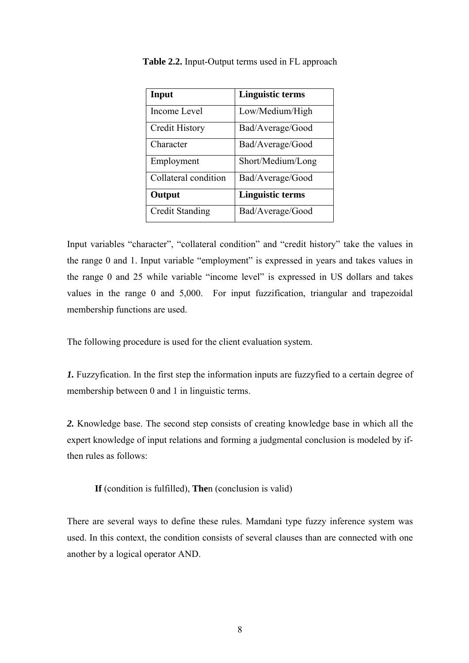| Input                  | Linguistic terms        |
|------------------------|-------------------------|
| Income Level           | Low/Medium/High         |
| Credit History         | Bad/Average/Good        |
| Character              | Bad/Average/Good        |
| Employment             | Short/Medium/Long       |
| Collateral condition   | Bad/Average/Good        |
| Output                 | <b>Linguistic terms</b> |
| <b>Credit Standing</b> | Bad/Average/Good        |

**Table 2.2.** Input-Output terms used in FL approach

Input variables "character", "collateral condition" and "credit history" take the values in the range 0 and 1. Input variable "employment" is expressed in years and takes values in the range 0 and 25 while variable "income level" is expressed in US dollars and takes values in the range 0 and 5,000. For input fuzzification, triangular and trapezoidal membership functions are used.

The following procedure is used for the client evaluation system.

*1.* Fuzzyfication. In the first step the information inputs are fuzzyfied to a certain degree of membership between 0 and 1 in linguistic terms.

*2.* Knowledge base. The second step consists of creating knowledge base in which all the expert knowledge of input relations and forming a judgmental conclusion is modeled by ifthen rules as follows:

**If** (condition is fulfilled), **The**n (conclusion is valid)

There are several ways to define these rules. Mamdani type fuzzy inference system was used. In this context, the condition consists of several clauses than are connected with one another by a logical operator AND.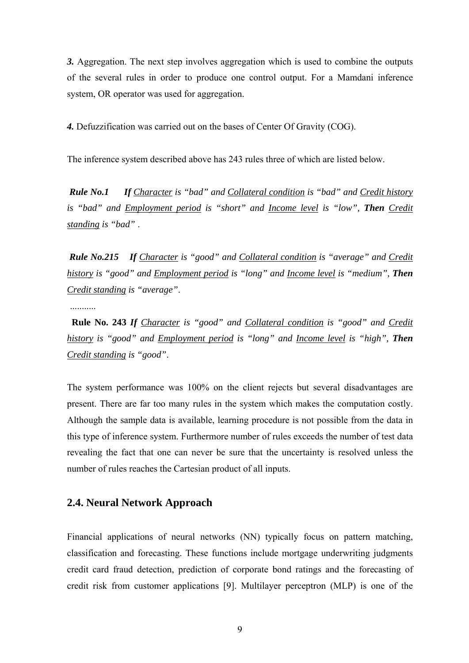*3.* Aggregation. The next step involves aggregation which is used to combine the outputs of the several rules in order to produce one control output. For a Mamdani inference system, OR operator was used for aggregation.

*4.* Defuzzification was carried out on the bases of Center Of Gravity (COG).

The inference system described above has 243 rules three of which are listed below.

 *Rule No.1 If Character is "bad" and Collateral condition is "bad" and Credit history is "bad" and Employment period is "short" and Income level is "low", Then Credit standing is "bad"* .

 *Rule No.215 If Character is "good" and Collateral condition is "average" and Credit history is "good" and Employment period is "long" and Income level is "medium", Then Credit standing is "average"*.

...........

 **Rule No. 243** *If Character is "good" and Collateral condition is "good" and Credit history is "good" and Employment period is "long" and Income level is "high", Then Credit standing is "good"*.

The system performance was 100% on the client rejects but several disadvantages are present. There are far too many rules in the system which makes the computation costly. Although the sample data is available, learning procedure is not possible from the data in this type of inference system. Furthermore number of rules exceeds the number of test data revealing the fact that one can never be sure that the uncertainty is resolved unless the number of rules reaches the Cartesian product of all inputs.

#### **2.4. Neural Network Approach**

Financial applications of neural networks (NN) typically focus on pattern matching, classification and forecasting. These functions include mortgage underwriting judgments credit card fraud detection, prediction of corporate bond ratings and the forecasting of credit risk from customer applications [9]. Multilayer perceptron (MLP) is one of the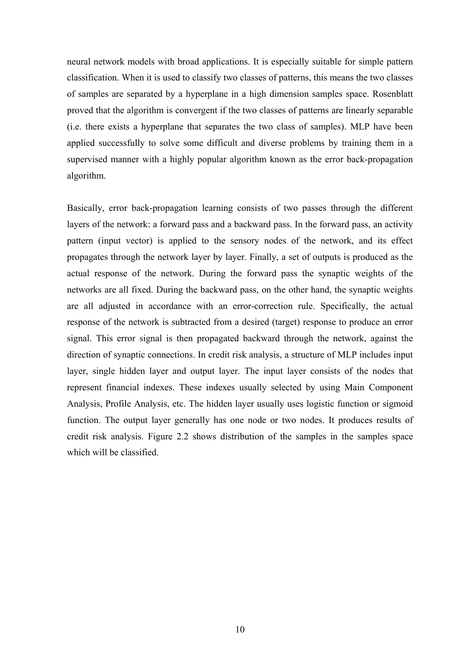neural network models with broad applications. It is especially suitable for simple pattern classification. When it is used to classify two classes of patterns, this means the two classes of samples are separated by a hyperplane in a high dimension samples space. Rosenblatt proved that the algorithm is convergent if the two classes of patterns are linearly separable (i.e. there exists a hyperplane that separates the two class of samples). MLP have been applied successfully to solve some difficult and diverse problems by training them in a supervised manner with a highly popular algorithm known as the error back-propagation algorithm.

Basically, error back-propagation learning consists of two passes through the different layers of the network: a forward pass and a backward pass. In the forward pass, an activity pattern (input vector) is applied to the sensory nodes of the network, and its effect propagates through the network layer by layer. Finally, a set of outputs is produced as the actual response of the network. During the forward pass the synaptic weights of the networks are all fixed. During the backward pass, on the other hand, the synaptic weights are all adjusted in accordance with an error-correction rule. Specifically, the actual response of the network is subtracted from a desired (target) response to produce an error signal. This error signal is then propagated backward through the network, against the direction of synaptic connections. In credit risk analysis, a structure of MLP includes input layer, single hidden layer and output layer. The input layer consists of the nodes that represent financial indexes. These indexes usually selected by using Main Component Analysis, Profile Analysis, etc. The hidden layer usually uses logistic function or sigmoid function. The output layer generally has one node or two nodes. It produces results of credit risk analysis. Figure 2.2 shows distribution of the samples in the samples space which will be classified.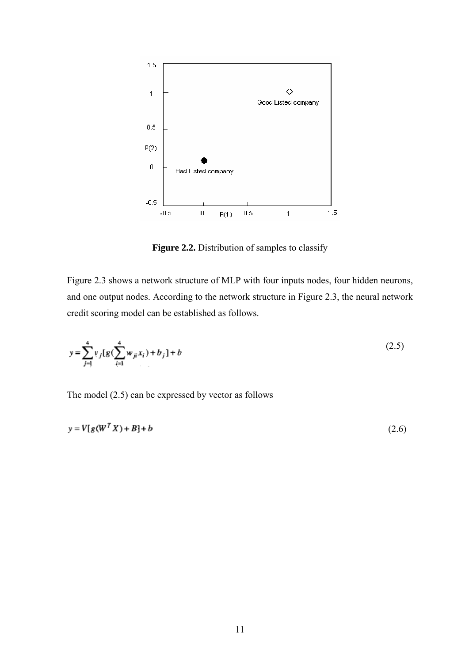

**Figure 2.2.** Distribution of samples to classify

Figure 2.3 shows a network structure of MLP with four inputs nodes, four hidden neurons, and one output nodes. According to the network structure in Figure 2.3, the neural network credit scoring model can be established as follows.

$$
y = \sum_{j=1}^{4} v_j [g(\sum_{i=1}^{4} w_{ji} x_i) + b_j] + b
$$
 (2.5)

The model (2.5) can be expressed by vector as follows

$$
y = V[g(WT X) + B] + b \tag{2.6}
$$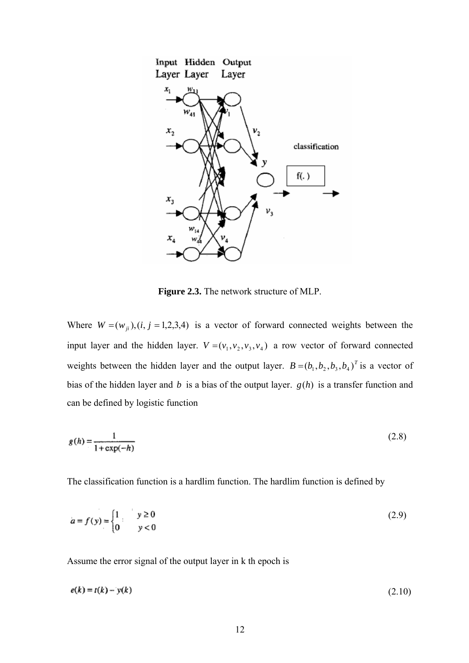

**Figure 2.3.** The network structure of MLP.

Where  $W = (w_{ji})$ ,  $(i, j = 1, 2, 3, 4)$  is a vector of forward connected weights between the input layer and the hidden layer.  $V = (v_1, v_2, v_3, v_4)$  a row vector of forward connected weights between the hidden layer and the output layer.  $B = (b_1, b_2, b_3, b_4)^T$  is a vector of bias of the hidden layer and *b* is a bias of the output layer. *g*(*h*) is a transfer function and can be defined by logistic function

$$
g(h) = \frac{1}{1 + \exp(-h)}\tag{2.8}
$$

The classification function is a hardlim function. The hardlim function is defined by

$$
a = f(y) = \begin{cases} 1 & y \ge 0 \\ 0 & y < 0 \end{cases}
$$
 (2.9)

Assume the error signal of the output layer in k th epoch is

$$
e(k) = t(k) - y(k) \tag{2.10}
$$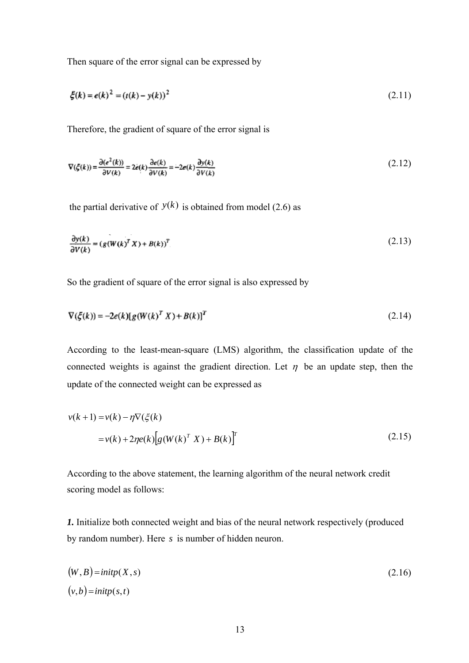Then square of the error signal can be expressed by

$$
\xi(k) = e(k)^2 = (t(k) - y(k))^2
$$
\n(2.11)

Therefore, the gradient of square of the error signal is

$$
\nabla(\xi(k)) = \frac{\partial(e^2(k))}{\partial V(k)} = 2e(k)\frac{\partial e(k)}{\partial V(k)} = -2e(k)\frac{\partial y(k)}{\partial V(k)}\tag{2.12}
$$

the partial derivative of  $y(k)$  is obtained from model (2.6) as

$$
\frac{\partial y(k)}{\partial V(k)} = (g(W(k)^T X) + B(k))^T
$$
\n(2.13)

So the gradient of square of the error signal is also expressed by

$$
\nabla(\xi(k)) = -2e(k)[g(W(k)^T X) + B(k)]^T
$$
\n(2.14)

According to the least-mean-square (LMS) algorithm, the classification update of the connected weights is against the gradient direction. Let  $\eta$  be an update step, then the update of the connected weight can be expressed as

$$
v(k+1) = v(k) - \eta \nabla (\xi(k))
$$
  
=  $v(k) + 2\eta e(k) [g(W(k)^T X) + B(k)]^T$  (2.15)

According to the above statement, the learning algorithm of the neural network credit scoring model as follows:

*1.* Initialize both connected weight and bias of the neural network respectively (produced by random number). Here *s* is number of hidden neuron.

$$
(W, B) = \text{initp}(X, s) \tag{2.16}
$$
  

$$
(v, b) = \text{initp}(s, t)
$$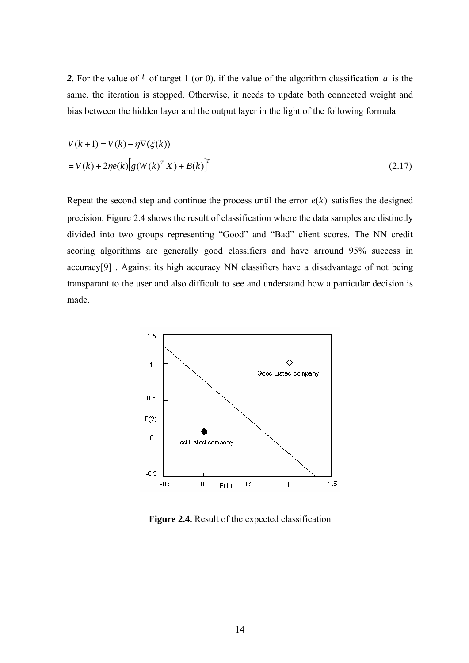*2.* For the value of *t* of target 1 (or 0). if the value of the algorithm classification *a* is the same, the iteration is stopped. Otherwise, it needs to update both connected weight and bias between the hidden layer and the output layer in the light of the following formula

$$
V(k+1) = V(k) - \eta \nabla(\xi(k))
$$
  
=  $V(k) + 2\eta e(k) [g(W(k)^T X) + B(k)]^T$  (2.17)

Repeat the second step and continue the process until the error  $e(k)$  satisfies the designed precision. Figure 2.4 shows the result of classification where the data samples are distinctly divided into two groups representing "Good" and "Bad" client scores. The NN credit scoring algorithms are generally good classifiers and have arround 95% success in accuracy[9] . Against its high accuracy NN classifiers have a disadvantage of not being transparant to the user and also difficult to see and understand how a particular decision is made.



**Figure 2.4.** Result of the expected classification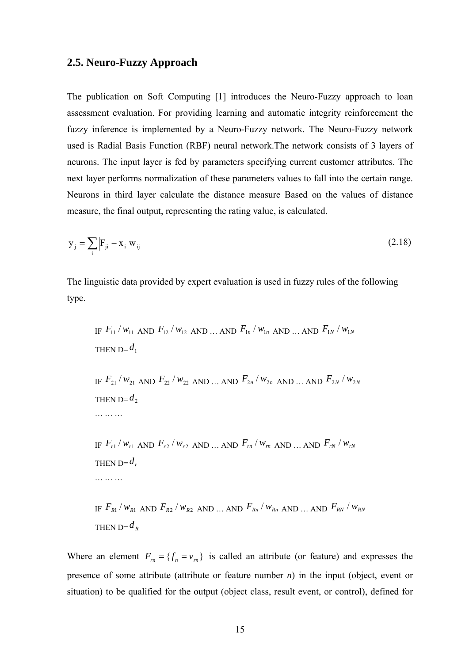### **2.5. Neuro-Fuzzy Approach**

The publication on Soft Computing [1] introduces the Neuro-Fuzzy approach to loan assessment evaluation. For providing learning and automatic integrity reinforcement the fuzzy inference is implemented by a Neuro-Fuzzy network. The Neuro-Fuzzy network used is Radial Basis Function (RBF) neural network.The network consists of 3 layers of neurons. The input layer is fed by parameters specifying current customer attributes. The next layer performs normalization of these parameters values to fall into the certain range. Neurons in third layer calculate the distance measure Based on the values of distance measure, the final output, representing the rating value, is calculated.

$$
y_j = \sum_{i} |F_{ji} - x_i| w_{ij}
$$
 (2.18)

The linguistic data provided by expert evaluation is used in fuzzy rules of the following type.

IF 
$$
F_{11}/w_{11}
$$
 AND  $F_{12}/w_{12}$  AND ... AND  $F_{1n}/w_{1n}$  AND ... AND  $F_{1N}/w_{1N}$   
\nTHEN D= $d_1$   
\nIF  $F_{21}/w_{21}$  AND  $F_{22}/w_{22}$  AND ... AND  $F_{2n}/w_{2n}$  AND ... AND  $F_{2N}/w_{2N}$   
\nTHEN D= $d_2$   
\n........  
\nIF  $F_{r1}/w_{r1}$  AND  $F_{r2}/w_{r2}$  AND ... AND  $F_m/w_m$  AND ... AND  $F_{rN}/w_{rN}$   
\nTHEN D= $d_r$   
\n........  
\nIF  $F_{R1}/w_{R1}$  AND  $F_{R2}/w_{R2}$  AND ... AND  $F_{Rn}/w_{Rn}$  AND ... AND  $F_{RN}/w_{RN}$   
\nTHEN D= $d_R$ 

Where an element  $F_m = \{f_n = v_m\}$  is called an attribute (or feature) and expresses the presence of some attribute (attribute or feature number *n*) in the input (object, event or situation) to be qualified for the output (object class, result event, or control), defined for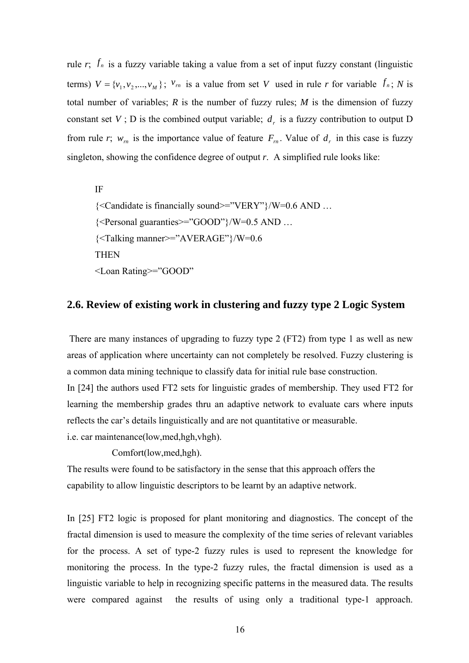rule  $r$ ;  $f_n$  is a fuzzy variable taking a value from a set of input fuzzy constant (linguistic terms)  $V = \{v_1, v_2, ..., v_M\}$ ;  $v_m$  is a value from set *V* used in rule *r* for variable  $f_n$ ; *N* is total number of variables;  $R$  is the number of fuzzy rules;  $M$  is the dimension of fuzzy constant set *V*; D is the combined output variable;  $d_{\perp}$  is a fuzzy contribution to output D from rule *r*;  $w_m$  is the importance value of feature  $F_m$ . Value of  $d_r$  in this case is fuzzy singleton, showing the confidence degree of output *r*. A simplified rule looks like:

IF {<Candidate is financially sound>="VERY"}/W=0.6 AND … {<Personal guaranties>="GOOD"}/W=0.5 AND … {<Talking manner>="AVERAGE"}/W=0.6 **THEN** <Loan Rating>="GOOD"

### **2.6. Review of existing work in clustering and fuzzy type 2 Logic System**

 There are many instances of upgrading to fuzzy type 2 (FT2) from type 1 as well as new areas of application where uncertainty can not completely be resolved. Fuzzy clustering is a common data mining technique to classify data for initial rule base construction.

In [24] the authors used FT2 sets for linguistic grades of membership. They used FT2 for learning the membership grades thru an adaptive network to evaluate cars where inputs reflects the car's details linguistically and are not quantitative or measurable.

i.e. car maintenance(low,med,hgh,vhgh).

Comfort(low,med,hgh).

The results were found to be satisfactory in the sense that this approach offers the capability to allow linguistic descriptors to be learnt by an adaptive network.

In [25] FT2 logic is proposed for plant monitoring and diagnostics. The concept of the fractal dimension is used to measure the complexity of the time series of relevant variables for the process. A set of type-2 fuzzy rules is used to represent the knowledge for monitoring the process. In the type-2 fuzzy rules, the fractal dimension is used as a linguistic variable to help in recognizing specific patterns in the measured data. The results were compared against the results of using only a traditional type-1 approach.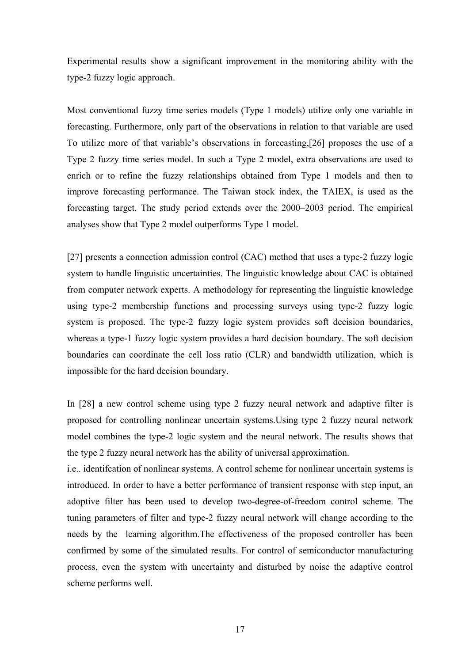Experimental results show a significant improvement in the monitoring ability with the type-2 fuzzy logic approach.

Most conventional fuzzy time series models (Type 1 models) utilize only one variable in forecasting. Furthermore, only part of the observations in relation to that variable are used To utilize more of that variable's observations in forecasting,[26] proposes the use of a Type 2 fuzzy time series model. In such a Type 2 model, extra observations are used to enrich or to refine the fuzzy relationships obtained from Type 1 models and then to improve forecasting performance. The Taiwan stock index, the TAIEX, is used as the forecasting target. The study period extends over the 2000–2003 period. The empirical analyses show that Type 2 model outperforms Type 1 model.

[27] presents a connection admission control (CAC) method that uses a type-2 fuzzy logic system to handle linguistic uncertainties. The linguistic knowledge about CAC is obtained from computer network experts. A methodology for representing the linguistic knowledge using type-2 membership functions and processing surveys using type-2 fuzzy logic system is proposed. The type-2 fuzzy logic system provides soft decision boundaries, whereas a type-1 fuzzy logic system provides a hard decision boundary. The soft decision boundaries can coordinate the cell loss ratio (CLR) and bandwidth utilization, which is impossible for the hard decision boundary.

In [28] a new control scheme using type 2 fuzzy neural network and adaptive filter is proposed for controlling nonlinear uncertain systems.Using type 2 fuzzy neural network model combines the type-2 logic system and the neural network. The results shows that the type 2 fuzzy neural network has the ability of universal approximation.

i.e.. identifcation of nonlinear systems. A control scheme for nonlinear uncertain systems is introduced. In order to have a better performance of transient response with step input, an adoptive filter has been used to develop two-degree-of-freedom control scheme. The tuning parameters of filter and type-2 fuzzy neural network will change according to the needs by the learning algorithm.The effectiveness of the proposed controller has been confirmed by some of the simulated results. For control of semiconductor manufacturing process, even the system with uncertainty and disturbed by noise the adaptive control scheme performs well.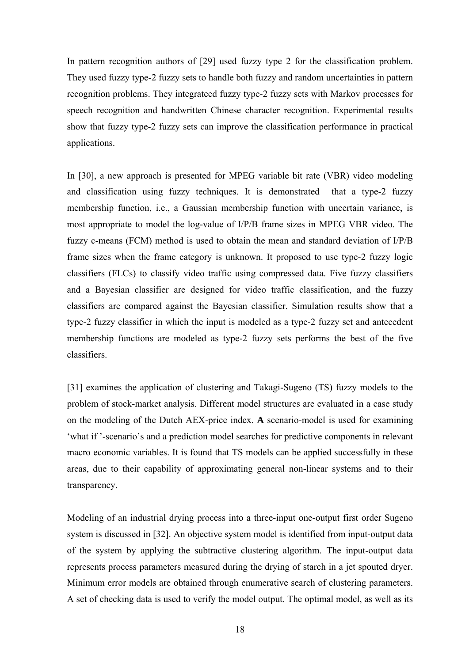In pattern recognition authors of [29] used fuzzy type 2 for the classification problem. They used fuzzy type-2 fuzzy sets to handle both fuzzy and random uncertainties in pattern recognition problems. They integrateed fuzzy type-2 fuzzy sets with Markov processes for speech recognition and handwritten Chinese character recognition. Experimental results show that fuzzy type-2 fuzzy sets can improve the classification performance in practical applications.

In [30], a new approach is presented for MPEG variable bit rate (VBR) video modeling and classification using fuzzy techniques. It is demonstrated that a type-2 fuzzy membership function, i.e., a Gaussian membership function with uncertain variance, is most appropriate to model the log-value of I/P/B frame sizes in MPEG VBR video. The fuzzy c-means (FCM) method is used to obtain the mean and standard deviation of I/P/B frame sizes when the frame category is unknown. It proposed to use type-2 fuzzy logic classifiers (FLCs) to classify video traffic using compressed data. Five fuzzy classifiers and a Bayesian classifier are designed for video traffic classification, and the fuzzy classifiers are compared against the Bayesian classifier. Simulation results show that a type-2 fuzzy classifier in which the input is modeled as a type-2 fuzzy set and antecedent membership functions are modeled as type-2 fuzzy sets performs the best of the five classifiers.

[31] examines the application of clustering and Takagi-Sugeno (TS) fuzzy models to the problem of stock-market analysis. Different model structures are evaluated in a case study on the modeling of the Dutch AEX-price index. **A** scenario-model is used for examining 'what if '-scenario's and a prediction model searches for predictive components in relevant macro economic variables. It is found that TS models can be applied successfully in these areas, due to their capability of approximating general non-linear systems and to their transparency.

Modeling of an industrial drying process into a three-input one-output first order Sugeno system is discussed in [32]. An objective system model is identified from input-output data of the system by applying the subtractive clustering algorithm. The input-output data represents process parameters measured during the drying of starch in a jet spouted dryer. Minimum error models are obtained through enumerative search of clustering parameters. A set of checking data is used to verify the model output. The optimal model, as well as its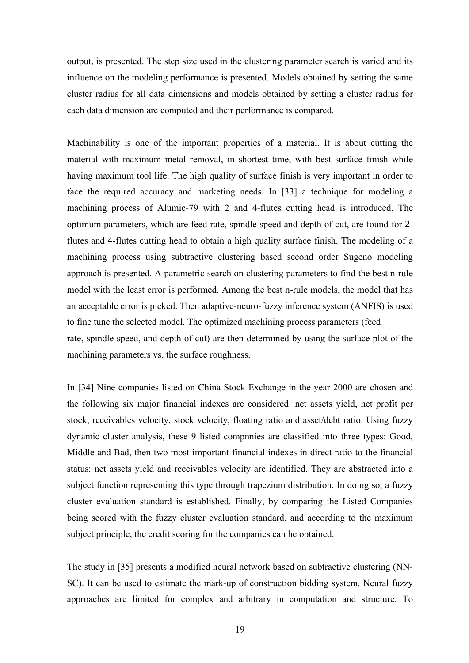output, is presented. The step size used in the clustering parameter search is varied and its influence on the modeling performance is presented. Models obtained by setting the same cluster radius for all data dimensions and models obtained by setting a cluster radius for each data dimension are computed and their performance is compared.

Machinability is one of the important properties of a material. It is about cutting the material with maximum metal removal, in shortest time, with best surface finish while having maximum tool life. The high quality of surface finish is very important in order to face the required accuracy and marketing needs. In [33] a technique for modeling a machining process of Alumic-79 with 2 and 4-flutes cutting head is introduced. The optimum parameters, which are feed rate, spindle speed and depth of cut, are found for **2** flutes and 4-flutes cutting head to obtain a high quality surface finish. The modeling of a machining process using subtractive clustering based second order Sugeno modeling approach is presented. A parametric search on clustering parameters to find the best n-rule model with the least error is performed. Among the best n-rule models, the model that has an acceptable error is picked. Then adaptive-neuro-fuzzy inference system (ANFIS) is used to fine tune the selected model. The optimized machining process parameters (feed rate, spindle speed, and depth of cut) are then determined by using the surface plot of the machining parameters vs. the surface roughness.

In [34] Nine companies listed on China Stock Exchange in the year 2000 are chosen and the following six major financial indexes are considered: net assets yield, net profit per stock, receivables velocity, stock velocity, floating ratio and asset/debt ratio. Using fuzzy dynamic cluster analysis, these 9 listed compnnies are classified into three types: Good, Middle and Bad, then two most important financial indexes in direct ratio to the financial status: net assets yield and receivables velocity are identified. They are abstracted into a subject function representing this type through trapezium distribution. In doing so, a fuzzy cluster evaluation standard is established. Finally, by comparing the Listed Companies being scored with the fuzzy cluster evaluation standard, and according to the maximum subject principle, the credit scoring for the companies can he obtained.

The study in [35] presents a modified neural network based on subtractive clustering (NN-SC). It can be used to estimate the mark-up of construction bidding system. Neural fuzzy approaches are limited for complex and arbitrary in computation and structure. To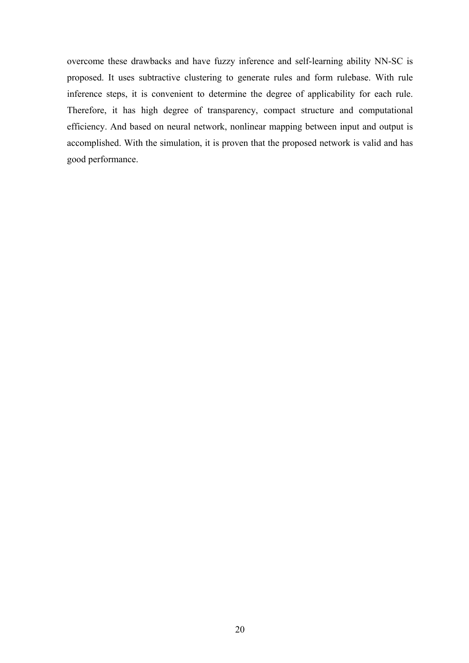overcome these drawbacks and have fuzzy inference and self-learning ability NN-SC is proposed. It uses subtractive clustering to generate rules and form rulebase. With rule inference steps, it is convenient to determine the degree of applicability for each rule. Therefore, it has high degree of transparency, compact structure and computational efficiency. And based on neural network, nonlinear mapping between input and output is accomplished. With the simulation, it is proven that the proposed network is valid and has good performance.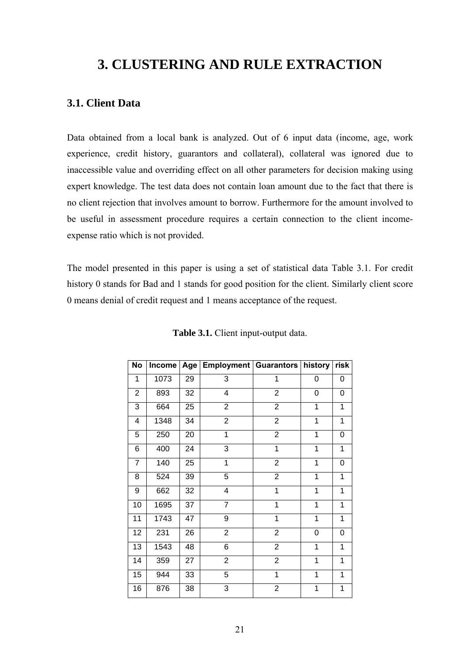## **3. CLUSTERING AND RULE EXTRACTION**

### **3.1. Client Data**

Data obtained from a local bank is analyzed. Out of 6 input data (income, age, work experience, credit history, guarantors and collateral), collateral was ignored due to inaccessible value and overriding effect on all other parameters for decision making using expert knowledge. The test data does not contain loan amount due to the fact that there is no client rejection that involves amount to borrow. Furthermore for the amount involved to be useful in assessment procedure requires a certain connection to the client incomeexpense ratio which is not provided.

The model presented in this paper is using a set of statistical data Table 3.1. For credit history 0 stands for Bad and 1 stands for good position for the client. Similarly client score 0 means denial of credit request and 1 means acceptance of the request.

| <b>No</b>      | <b>Income</b> | Age | <b>Employment   Guarantors</b> |                | history      | risk |
|----------------|---------------|-----|--------------------------------|----------------|--------------|------|
| $\mathbf{1}$   | 1073          | 29  | 3                              | 1              | 0            | 0    |
| $\overline{2}$ | 893           | 32  | 4                              | $\overline{2}$ | 0            | 0    |
| 3              | 664           | 25  | $\overline{2}$                 | $\overline{2}$ | 1            | 1    |
| 4              | 1348          | 34  | $\overline{2}$                 | $\overline{2}$ | $\mathbf{1}$ | 1    |
| 5              | 250           | 20  | 1                              | $\overline{2}$ | 1            | 0    |
| 6              | 400           | 24  | 3                              | 1              | 1            | 1    |
| $\overline{7}$ | 140           | 25  | $\mathbf 1$                    | $\overline{c}$ | 1            | 0    |
| 8              | 524           | 39  | 5                              | $\overline{2}$ | 1            | 1    |
| 9              | 662           | 32  | 4                              | 1              | 1            | 1    |
| 10             | 1695          | 37  | $\overline{7}$                 | 1              | 1            | 1    |
| 11             | 1743          | 47  | 9                              | 1              | 1            | 1    |
| 12             | 231           | 26  | $\overline{c}$                 | $\overline{2}$ | 0            | 0    |
| 13             | 1543          | 48  | $\overline{6}$                 | $\overline{2}$ | 1            | 1    |
| 14             | 359           | 27  | $\overline{2}$                 | $\overline{2}$ | 1            | 1    |
| 15             | 944           | 33  | 5                              | 1              | 1            | 1    |
| 16             | 876           | 38  | 3                              | $\overline{c}$ | 1            | 1    |

**Table 3.1.** Client input-output data.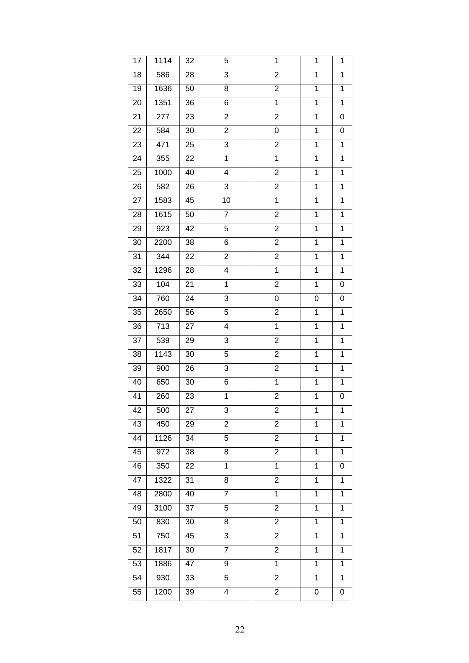| 17 | 1114 | 32 | 5                       | $\mathbf 1$             | $\mathbf{1}$   | $\mathbf 1$    |
|----|------|----|-------------------------|-------------------------|----------------|----------------|
| 18 | 586  | 28 | 3                       | 2                       | $\mathbf 1$    | $\mathbf 1$    |
| 19 | 1636 | 50 | 8                       | $\overline{c}$          | $\mathbf 1$    | $\mathbf 1$    |
| 20 | 1351 | 36 | 6                       | $\overline{1}$          | $\mathbf 1$    | $\overline{1}$ |
| 21 | 277  | 23 | $\overline{c}$          | $\overline{2}$          | 1              | 0              |
| 22 | 584  | 30 | $\overline{c}$          | 0                       | 1              | 0              |
| 23 | 471  | 25 | 3                       | $\overline{\mathbf{c}}$ | $\overline{1}$ | $\overline{1}$ |
| 24 | 355  | 22 | $\overline{1}$          | $\overline{1}$          | $\overline{1}$ | $\mathbf 1$    |
| 25 | 1000 | 40 | 4                       | $\overline{\mathbf{c}}$ | $\overline{1}$ | $\mathbf 1$    |
| 26 | 582  | 26 | 3                       | $\overline{2}$          | $\overline{1}$ | $\mathbf 1$    |
| 27 | 1583 | 45 | 10                      | $\mathbf 1$             | $\mathbf{1}$   | $\mathbf 1$    |
| 28 | 1615 | 50 | $\overline{7}$          | $\overline{\mathbf{c}}$ | $\overline{1}$ | $\mathbf 1$    |
| 29 | 923  | 42 | $\overline{5}$          | $\overline{2}$          | $\overline{1}$ | $\overline{1}$ |
| 30 | 2200 | 38 | 6                       | $\overline{\mathbf{c}}$ | $\overline{1}$ | $\mathbf 1$    |
| 31 | 344  | 22 | $\overline{2}$          | 2                       | $\overline{1}$ | $\mathbf 1$    |
| 32 | 1296 | 28 | $\overline{4}$          | $\overline{1}$          | $\overline{1}$ | $\overline{1}$ |
| 33 | 104  | 21 | $\mathbf 1$             | $\overline{\mathbf{c}}$ | $\mathbf{1}$   | 0              |
| 34 | 760  | 24 | 3                       | 0                       | 0              | 0              |
| 35 | 2650 | 56 | 5                       | $\overline{2}$          | $\overline{1}$ | $\overline{1}$ |
| 36 | 713  | 27 | 4                       | $\mathbf 1$             | $\mathbf{1}$   | 1              |
| 37 | 539  | 29 | 3                       | $\overline{\mathbf{c}}$ | $\mathbf 1$    | 1              |
| 38 | 1143 | 30 | 5                       | $\overline{2}$          | $\mathbf 1$    | $\mathbf 1$    |
| 39 | 900  | 26 | 3                       | $\overline{\mathbf{c}}$ | 1              | 1              |
| 40 | 650  | 30 | 6                       | 1                       | 1              | 1              |
| 41 | 260  | 23 | $\mathbf 1$             | $\overline{2}$          | $\mathbf 1$    | $\mathbf 0$    |
| 42 | 500  | 27 | 3                       | 2                       | 1              | 1              |
| 43 | 450  | 29 | 2                       | 2                       | 1              | 1              |
| 44 | 1126 | 34 | 5                       | $\overline{2}$          | $\mathbf 1$    | $\mathbf 1$    |
| 45 | 972  | 38 | 8                       | 2                       | 1              | 1              |
| 46 | 350  | 22 | 1                       | 1                       | 1              | 0              |
| 47 | 1322 | 31 | 8                       | $\overline{2}$          | $\overline{1}$ | $\overline{1}$ |
| 48 | 2800 | 40 | $\overline{7}$          | $\mathbf 1$             | $\mathbf{1}$   | 1              |
| 49 | 3100 | 37 | 5                       | 2                       | $\overline{1}$ | 1              |
| 50 | 830  | 30 | 8                       | $\overline{2}$          | $\overline{1}$ | $\mathbf 1$    |
| 51 | 750  | 45 | 3                       | 2                       | $\mathbf{1}$   | 1              |
| 52 | 1817 | 30 | $\overline{7}$          | $\overline{2}$          | $\overline{1}$ | 1              |
| 53 | 1886 | 47 | 9                       | $\overline{1}$          | $\overline{1}$ | $\mathbf 1$    |
| 54 | 930  | 33 | 5                       | 2                       | $\mathbf{1}$   | 1              |
| 55 | 1200 | 39 | $\overline{\mathbf{4}}$ | 2                       | 0              | 0              |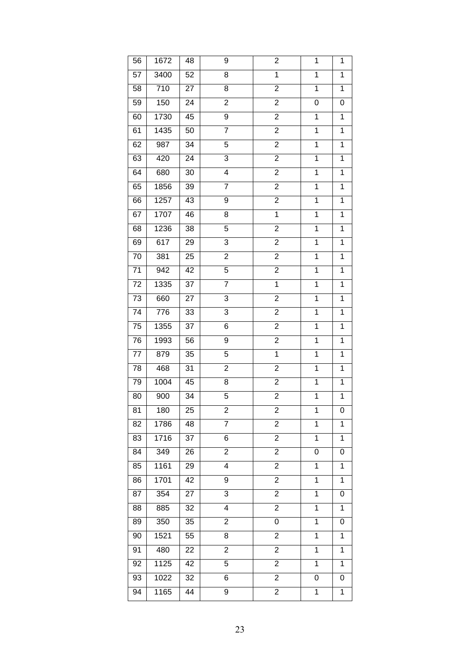| 56 | 1672 | 48 | 9                       | $\overline{\mathbf{c}}$ | $\mathbf{1}$   | $\mathbf 1$    |
|----|------|----|-------------------------|-------------------------|----------------|----------------|
| 57 | 3400 | 52 | 8                       | $\mathbf 1$             | $\mathbf 1$    | $\mathbf 1$    |
| 58 | 710  | 27 | 8                       | $\overline{c}$          | $\mathbf 1$    | $\mathbf 1$    |
| 59 | 150  | 24 | $\overline{c}$          | $\overline{2}$          | 0              | 0              |
| 60 | 1730 | 45 | 9                       | $\overline{2}$          | 1              | $\mathbf 1$    |
| 61 | 1435 | 50 | $\overline{7}$          | $\overline{\mathbf{c}}$ | 1              | $\mathbf 1$    |
| 62 | 987  | 34 | 5                       | $\overline{2}$          | $\overline{1}$ | $\overline{1}$ |
| 63 | 420  | 24 | 3                       | $\overline{\mathbf{c}}$ | $\overline{1}$ | $\mathbf 1$    |
| 64 | 680  | 30 | $\overline{\mathbf{4}}$ | $\overline{c}$          | $\overline{1}$ | $\mathbf 1$    |
| 65 | 1856 | 39 | $\overline{7}$          | $\overline{2}$          | $\overline{1}$ | $\mathbf 1$    |
| 66 | 1257 | 43 | 9                       | $\overline{\mathbf{c}}$ | $\mathbf{1}$   | $\mathbf 1$    |
| 67 | 1707 | 46 | 8                       | $\mathbf 1$             | $\overline{1}$ | $\mathbf 1$    |
| 68 | 1236 | 38 | $\overline{5}$          | $\overline{2}$          | $\overline{1}$ | $\overline{1}$ |
| 69 | 617  | 29 | 3                       | $\overline{\mathbf{c}}$ | $\overline{1}$ | $\mathbf 1$    |
| 70 | 381  | 25 | $\mathbf 2$             | $\overline{c}$          | $\overline{1}$ | $\mathbf 1$    |
| 71 | 942  | 42 | 5                       | $\overline{2}$          | $\overline{1}$ | $\overline{1}$ |
| 72 | 1335 | 37 | $\overline{7}$          | $\mathbf 1$             | $\mathbf 1$    | $\mathbf 1$    |
| 73 | 660  | 27 | 3                       | $\overline{2}$          | $\mathbf 1$    | $\mathbf 1$    |
| 74 | 776  | 33 | $\overline{3}$          | $\overline{2}$          | $\overline{1}$ | $\overline{1}$ |
| 75 | 1355 | 37 | 6                       | $\overline{\mathbf{c}}$ | $\mathbf{1}$   | 1              |
| 76 | 1993 | 56 | 9                       | $\overline{\mathbf{c}}$ | $\mathbf 1$    | $\mathbf 1$    |
| 77 | 879  | 35 | $\overline{5}$          | $\mathbf 1$             | $\mathbf 1$    | $\mathbf 1$    |
| 78 | 468  | 31 | $\overline{c}$          | $\overline{\mathbf{c}}$ | $\mathbf 1$    | 1              |
| 79 | 1004 | 45 | 8                       | $\overline{\mathbf{c}}$ | 1              | 1              |
| 80 | 900  | 34 | 5                       | $\overline{2}$          | $\mathbf 1$    | $\mathbf 1$    |
| 81 | 180  | 25 | 2                       | 2                       | 1              | 0              |
| 82 | 1786 | 48 | 7                       | $\overline{2}$          | 1              | $\mathbf 1$    |
| 83 | 1716 | 37 | 6                       | $\overline{2}$          | $\mathbf 1$    | $\mathbf 1$    |
| 84 | 349  | 26 | $\overline{c}$          | 2                       | 0              | 0              |
| 85 | 1161 | 29 | 4                       | $\overline{c}$          | 1              | 1              |
| 86 | 1701 | 42 | 9                       | $\overline{c}$          | $\overline{1}$ | $\mathbf 1$    |
| 87 | 354  | 27 | 3                       | 2                       | $\mathbf{1}$   | 0              |
| 88 | 885  | 32 | 4                       | 2                       | $\overline{1}$ | $\mathbf 1$    |
| 89 | 350  | 35 | $\overline{2}$          | 0                       | $\overline{1}$ | 0              |
| 90 | 1521 | 55 | 8                       | 2                       | $\mathbf{1}$   | 1              |
| 91 | 480  | 22 | $\overline{2}$          | $\overline{2}$          | $\overline{1}$ | 1              |
| 92 | 1125 | 42 | $\overline{5}$          | $\overline{c}$          | $\overline{1}$ | $\overline{1}$ |
| 93 | 1022 | 32 | 6                       | 2                       | 0              | 0              |
| 94 | 1165 | 44 | 9                       | 2                       | 1              | $\mathbf 1$    |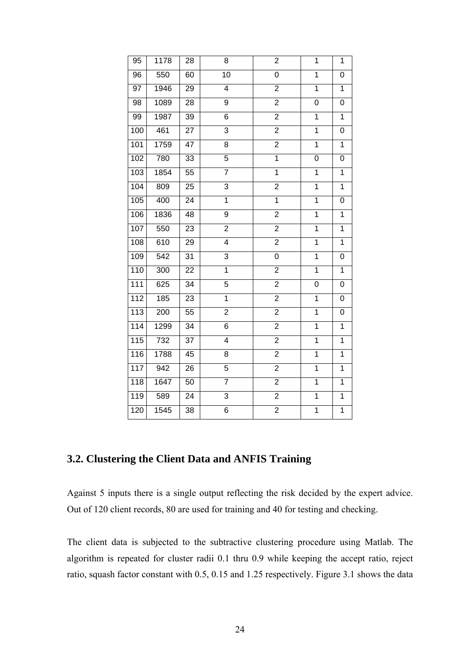| 95  | 1178 | 28 | 8               | $\overline{\mathbf{c}}$ | 1              | 1              |
|-----|------|----|-----------------|-------------------------|----------------|----------------|
| 96  | 550  | 60 | $\overline{10}$ | 0                       | $\mathbf 1$    | 0              |
| 97  | 1946 | 29 | 4               | $\overline{c}$          | $\overline{1}$ | $\overline{1}$ |
| 98  | 1089 | 28 | $\overline{9}$  | $\overline{2}$          | 0              | 0              |
| 99  | 1987 | 39 | 6               | $\overline{2}$          | $\overline{1}$ | $\overline{1}$ |
| 100 | 461  | 27 | $\overline{3}$  | $\overline{2}$          | $\overline{1}$ | $\mathbf 0$    |
| 101 | 1759 | 47 | 8               | $\overline{2}$          | $\overline{1}$ | $\overline{1}$ |
| 102 | 780  | 33 | 5               | 1                       | 0              | 0              |
| 103 | 1854 | 55 | 7               | $\mathbf 1$             | $\mathbf 1$    | 1              |
| 104 | 809  | 25 | 3               | $\overline{c}$          | $\mathbf 1$    | $\overline{1}$ |
| 105 | 400  | 24 | $\overline{1}$  | $\overline{1}$          | $\overline{1}$ | 0              |
| 106 | 1836 | 48 | 9               | $\overline{2}$          | $\overline{1}$ | $\overline{1}$ |
| 107 | 550  | 23 | $\overline{2}$  | $\overline{2}$          | $\overline{1}$ | $\overline{1}$ |
| 108 | 610  | 29 | 4               | $\overline{2}$          | 1              | $\mathbf 1$    |
| 109 | 542  | 31 | $\overline{3}$  | 0                       | $\overline{1}$ | 0              |
| 110 | 300  | 22 | $\mathbf 1$     | $\overline{c}$          | 1              | 1              |
| 111 | 625  | 34 | 5               | $\overline{c}$          | 0              | 0              |
| 112 | 185  | 23 | 1               | $\overline{c}$          | 1              | 0              |
| 113 | 200  | 55 | $\overline{2}$  | $\overline{2}$          | $\overline{1}$ | $\overline{0}$ |
| 114 | 1299 | 34 | 6               | $\overline{2}$          | $\overline{1}$ | $\mathbf 1$    |
| 115 | 732  | 37 | $\overline{4}$  | $\overline{2}$          | $\overline{1}$ | $\mathbf 1$    |
| 116 | 1788 | 45 | 8               | $\overline{2}$          | $\overline{1}$ | $\overline{1}$ |
| 117 | 942  | 26 | 5               | $\overline{\mathbf{c}}$ | $\mathbf 1$    | $\mathbf 1$    |
| 118 | 1647 | 50 | $\overline{7}$  | $\overline{2}$          | $\overline{1}$ | $\overline{1}$ |
| 119 | 589  | 24 | 3               | $\overline{2}$          | 1              | $\overline{1}$ |
| 120 | 1545 | 38 | 6               | $\overline{2}$          | $\mathbf 1$    | $\overline{1}$ |
|     |      |    |                 |                         |                |                |

### **3.2. Clustering the Client Data and ANFIS Training**

Against 5 inputs there is a single output reflecting the risk decided by the expert advice. Out of 120 client records, 80 are used for training and 40 for testing and checking.

The client data is subjected to the subtractive clustering procedure using Matlab. The algorithm is repeated for cluster radii 0.1 thru 0.9 while keeping the accept ratio, reject ratio, squash factor constant with 0.5, 0.15 and 1.25 respectively. Figure 3.1 shows the data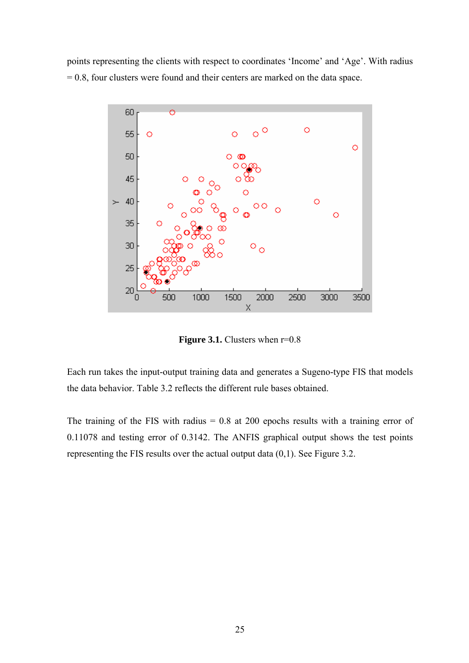points representing the clients with respect to coordinates 'Income' and 'Age'. With radius = 0.8, four clusters were found and their centers are marked on the data space.



**Figure 3.1.** Clusters when  $r=0.8$ 

Each run takes the input-output training data and generates a Sugeno-type FIS that models the data behavior. Table 3.2 reflects the different rule bases obtained.

The training of the FIS with radius  $= 0.8$  at 200 epochs results with a training error of 0.11078 and testing error of 0.3142. The ANFIS graphical output shows the test points representing the FIS results over the actual output data (0,1). See Figure 3.2.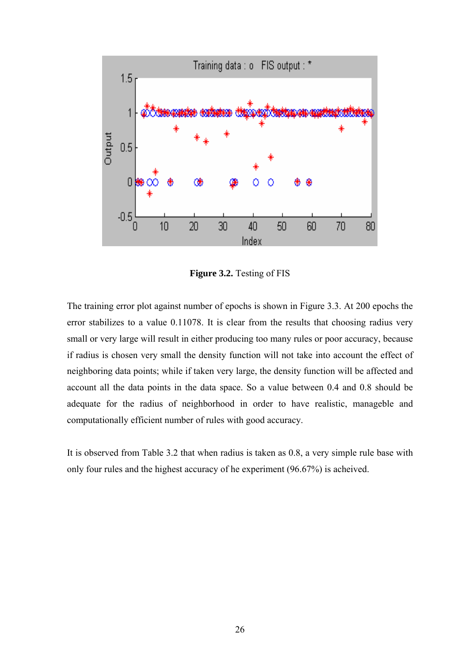

**Figure 3.2.** Testing of FIS

The training error plot against number of epochs is shown in Figure 3.3. At 200 epochs the error stabilizes to a value 0.11078. It is clear from the results that choosing radius very small or very large will result in either producing too many rules or poor accuracy, because if radius is chosen very small the density function will not take into account the effect of neighboring data points; while if taken very large, the density function will be affected and account all the data points in the data space. So a value between 0.4 and 0.8 should be adequate for the radius of neighborhood in order to have realistic, manageble and computationally efficient number of rules with good accuracy.

It is observed from Table 3.2 that when radius is taken as 0.8, a very simple rule base with only four rules and the highest accuracy of he experiment (96.67%) is acheived.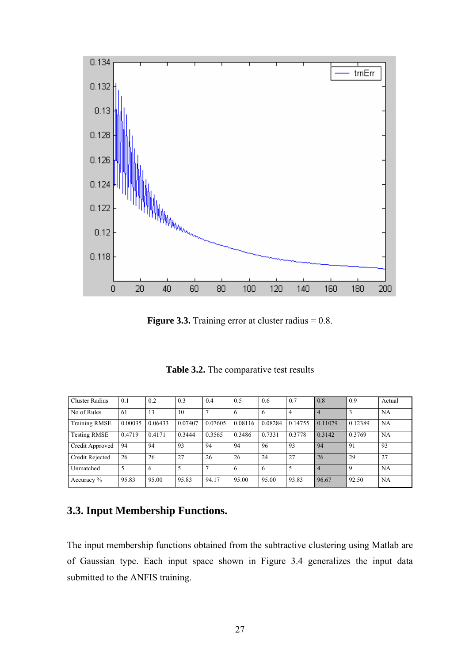

**Figure 3.3.** Training error at cluster radius = 0.8.

**Table 3.2.** The comparative test results

| <b>Cluster Radius</b> | 0.1     | 0.2     | 0.3     | 0.4            | 0.5     | 0.6     | 0.7     | 0.8            | 0.9         | Actual |
|-----------------------|---------|---------|---------|----------------|---------|---------|---------|----------------|-------------|--------|
| No of Rules           | 61      | 13      | 10      | $\overline{7}$ | 6       | 6       | 4       | $\overline{4}$ |             | NA     |
| <b>Training RMSE</b>  | 0.00035 | 0.06433 | 0.07407 | 0.07605        | 0.08116 | 0.08284 | 0.14755 | 0.11079        | 0.12389     | NA     |
| <b>Testing RMSE</b>   | 0.4719  | 0.4171  | 0.3444  | 0.3565         | 0.3486  | 0.7331  | 0.3778  | 0.3142         | 0.3769      | NA     |
| Credit Approved       | 94      | 94      | 93      | 94             | 94      | 96      | 93      | 94             | 91          | 93     |
| Credit Rejected       | 26      | 26      | 27      | 26             | 26      | 24      | 27      | 26             | 29          | 27     |
| Unmatched             |         | 6       | 5       | $\mathbf{r}$   | 6       | 6       | 5       | $\overline{4}$ | $\mathbf Q$ | NA     |
| Accuracy $%$          | 95.83   | 95.00   | 95.83   | 94.17          | 95.00   | 95.00   | 93.83   | 96.67          | 92.50       | NA     |

### **3.3. Input Membership Functions.**

The input membership functions obtained from the subtractive clustering using Matlab are of Gaussian type. Each input space shown in Figure 3.4 generalizes the input data submitted to the ANFIS training.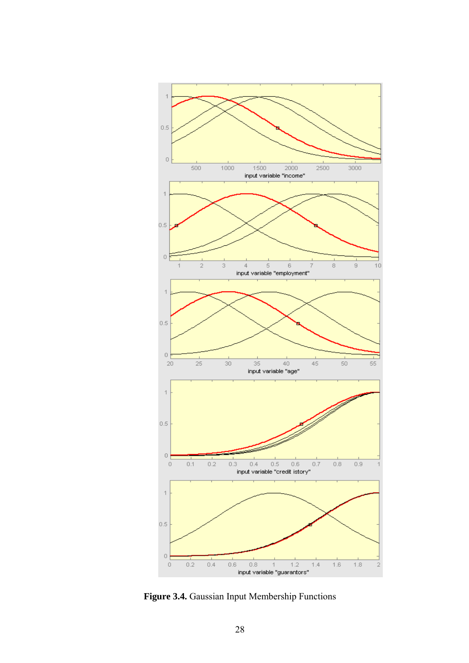

**Figure 3.4.** Gaussian Input Membership Functions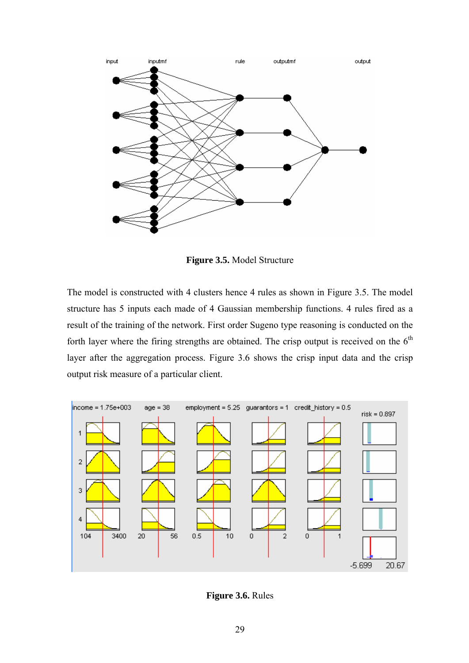

**Figure 3.5.** Model Structure

The model is constructed with 4 clusters hence 4 rules as shown in Figure 3.5. The model structure has 5 inputs each made of 4 Gaussian membership functions. 4 rules fired as a result of the training of the network. First order Sugeno type reasoning is conducted on the forth layer where the firing strengths are obtained. The crisp output is received on the  $6<sup>th</sup>$ layer after the aggregation process. Figure 3.6 shows the crisp input data and the crisp output risk measure of a particular client.



**Figure 3.6.** Rules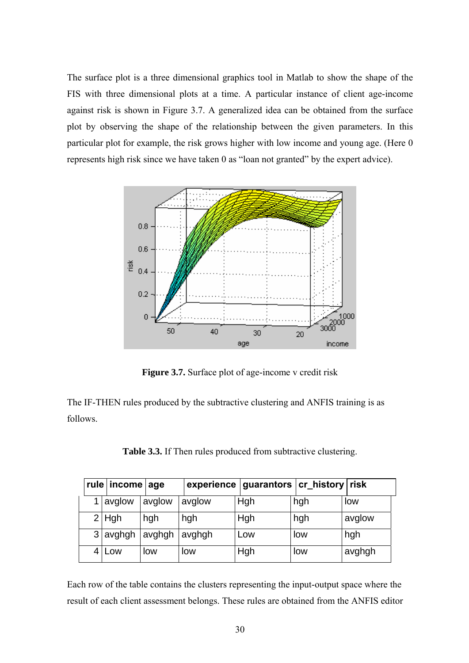The surface plot is a three dimensional graphics tool in Matlab to show the shape of the FIS with three dimensional plots at a time. A particular instance of client age-income against risk is shown in Figure 3.7. A generalized idea can be obtained from the surface plot by observing the shape of the relationship between the given parameters. In this particular plot for example, the risk grows higher with low income and young age. (Here 0 represents high risk since we have taken 0 as "loan not granted" by the expert advice).



**Figure 3.7.** Surface plot of age-income v credit risk

The IF-THEN rules produced by the subtractive clustering and ANFIS training is as follows.

**Table 3.3.** If Then rules produced from subtractive clustering.

| rule   income   age |        |        | experience   guarantors   cr_history   risk |     |        |
|---------------------|--------|--------|---------------------------------------------|-----|--------|
| avglow              | avglow | avglow | Hgh                                         | hgh | low    |
| $2$ Hgh             | hgh    | hgh    | Hgh                                         | hgh | avglow |
| $3$ avghgh          | avghgh | avghgh | Low                                         | low | hgh    |
| 4 Low               | low    | low    | Hgh                                         | low | avghgh |

Each row of the table contains the clusters representing the input-output space where the result of each client assessment belongs. These rules are obtained from the ANFIS editor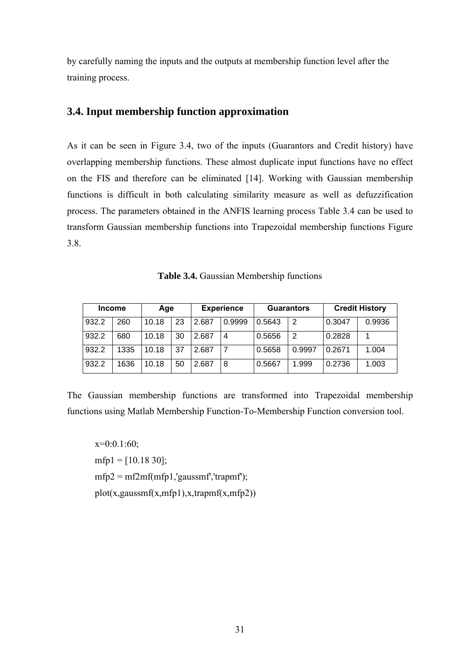by carefully naming the inputs and the outputs at membership function level after the training process.

### **3.4. Input membership function approximation**

As it can be seen in Figure 3.4, two of the inputs (Guarantors and Credit history) have overlapping membership functions. These almost duplicate input functions have no effect on the FIS and therefore can be eliminated [14]. Working with Gaussian membership functions is difficult in both calculating similarity measure as well as defuzzification process. The parameters obtained in the ANFIS learning process Table 3.4 can be used to transform Gaussian membership functions into Trapezoidal membership functions Figure 3.8.

**Table 3.4.** Gaussian Membership functions

| <b>Income</b> |      | Age   |    | <b>Experience</b> |        | <b>Guarantors</b> |        | <b>Credit History</b> |        |
|---------------|------|-------|----|-------------------|--------|-------------------|--------|-----------------------|--------|
| 932.2         | 260  | 10.18 | 23 | 2.687             | 0.9999 | 0.5643            | 2      | 0.3047                | 0.9936 |
| 932.2         | 680  | 10.18 | 30 | 2.687             | 4      | 0.5656            | 2      | 0.2828                |        |
| 932.2         | 1335 | 10.18 | 37 | 2.687             |        | 0.5658            | 0.9997 | 0.2671                | .004   |
| 932.2         | 1636 | 10.18 | 50 | 2.687             | 8      | 0.5667            | 1.999  | 0.2736                | 1.003  |

The Gaussian membership functions are transformed into Trapezoidal membership functions using Matlab Membership Function-To-Membership Function conversion tool.

 $x=0:0.1:60$ ;  $mfp1 = [10.1830];$  $mfp2 = mf2mf(mfp1, 'gaussmf', 'trapmf');$  $plot(x,gaussmf(x,mfp1),x,trapmf(x,mfp2))$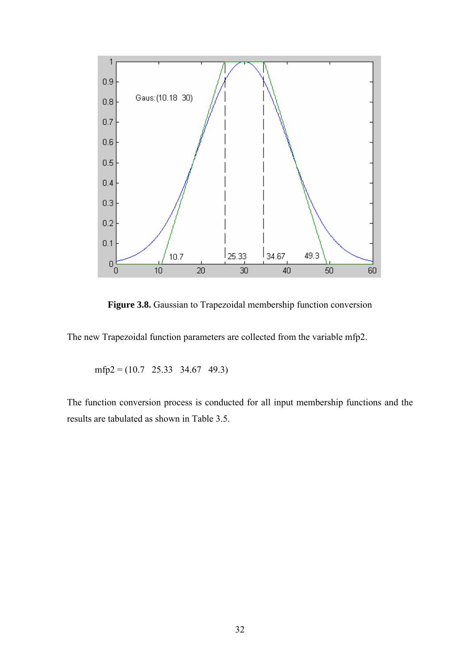

Figure 3.8. Gaussian to Trapezoidal membership function conversion

The new Trapezoidal function parameters are collected from the variable mfp2.

mfp2 = (10.7 25.33 34.67 49.3)

The function conversion process is conducted for all input membership functions and the results are tabulated as shown in Table 3.5.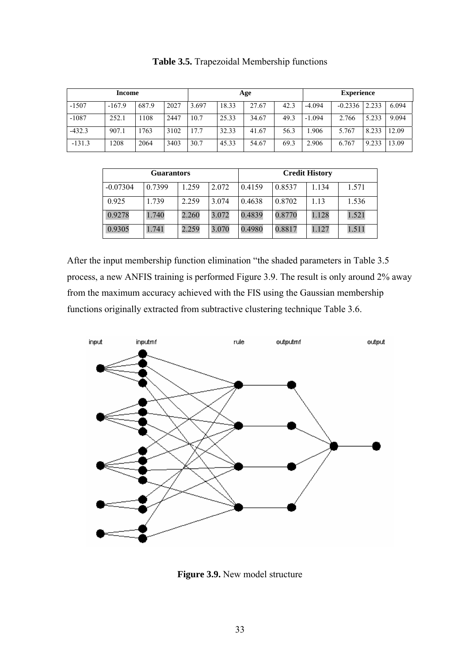|          | Age      |       |      |       | <b>Experience</b> |       |      |          |           |       |       |
|----------|----------|-------|------|-------|-------------------|-------|------|----------|-----------|-------|-------|
| $-1507$  | $-167.9$ | 687.9 | 2027 | 3.697 | 18.33             | 27.67 | 42.3 | $-4.094$ | $-0.2336$ | 2.233 | 6.094 |
| $-1087$  | 252.1    | 108   | 2447 | 10.7  | 25.33             | 34.67 | 49.3 | $-1.094$ | 2.766     | 5.233 | 9.094 |
| $-432.3$ | 907.1    | 1763  | 3102 | 17.7  | 32.33             | 41.67 | 56.3 | .906     | 5.767     | 8.233 | 12.09 |
| $-131.3$ | 1208     | 2064  | 3403 | 30.7  | 45.33             | 54.67 | 69.3 | 2.906    | 6.767     | 9.233 | 13.09 |

**Table 3.5.** Trapezoidal Membership functions

|            | <b>Guarantors</b> |       |       | <b>Credit History</b> |        |       |       |  |  |
|------------|-------------------|-------|-------|-----------------------|--------|-------|-------|--|--|
| $-0.07304$ | 0.7399            | .259  | 2.072 | 0.4159                | 0.8537 | 1.134 | 1.571 |  |  |
| 0.925      | 1.739             | 2.259 | 3.074 | 0.4638                | 0.8702 | 1.13  | 1.536 |  |  |
| 0.9278     | 1.740             | 2.260 | 3.072 | 0.4839                | 0.8770 | 1.128 | 1.521 |  |  |
| 0.9305     | 1.741             | 2.259 | 3.070 | 0.4980                | 0.8817 | 1.127 | 1.511 |  |  |

After the input membership function elimination "the shaded parameters in Table 3.5 process, a new ANFIS training is performed Figure 3.9. The result is only around 2% away from the maximum accuracy achieved with the FIS using the Gaussian membership functions originally extracted from subtractive clustering technique Table 3.6.



**Figure 3.9.** New model structure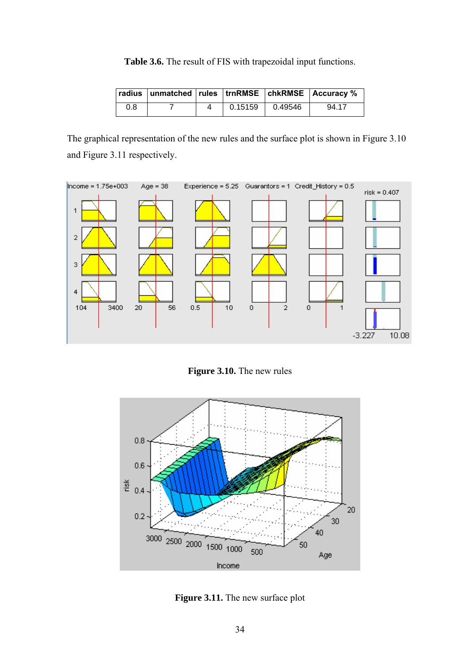**Table 3.6.** The result of FIS with trapezoidal input functions.

|     |  |         |         | radius   unmatched   rules   trnRMSE   chkRMSE   Accuracy % |
|-----|--|---------|---------|-------------------------------------------------------------|
| 0.8 |  | 0.15159 | 0.49546 | 94.17                                                       |

The graphical representation of the new rules and the surface plot is shown in Figure 3.10 and Figure 3.11 respectively.



**Figure 3.10.** The new rules



**Figure 3.11.** The new surface plot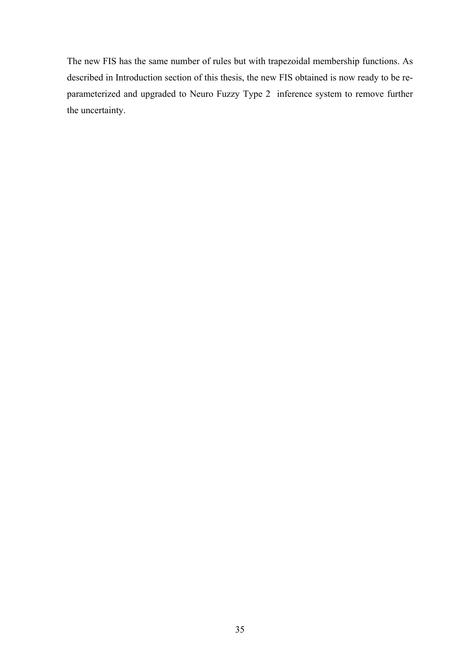The new FIS has the same number of rules but with trapezoidal membership functions. As described in Introduction section of this thesis, the new FIS obtained is now ready to be reparameterized and upgraded to Neuro Fuzzy Type 2 inference system to remove further the uncertainty.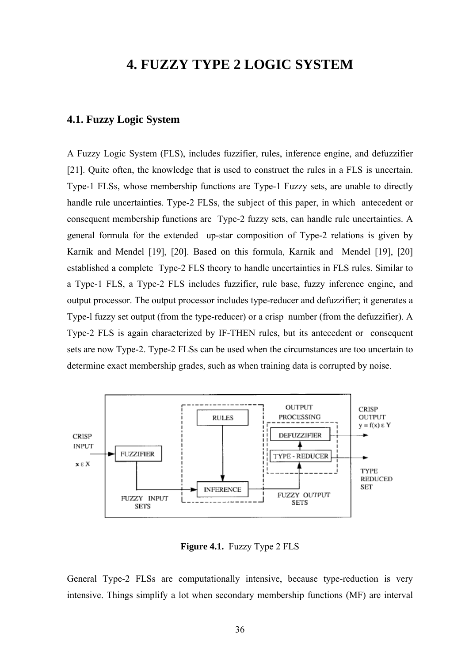# **4. FUZZY TYPE 2 LOGIC SYSTEM**

#### **4.1. Fuzzy Logic System**

A Fuzzy Logic System (FLS), includes fuzzifier, rules, inference engine, and defuzzifier [21]. Quite often, the knowledge that is used to construct the rules in a FLS is uncertain. Type-1 FLSs, whose membership functions are Type-1 Fuzzy sets, are unable to directly handle rule uncertainties. Type-2 FLSs, the subject of this paper, in which antecedent or consequent membership functions are Type-2 fuzzy sets, can handle rule uncertainties. A general formula for the extended up-star composition of Type-2 relations is given by Karnik and Mendel [19], [20]. Based on this formula, Karnik and Mendel [19], [20] established a complete Type-2 FLS theory to handle uncertainties in FLS rules. Similar to a Type-1 FLS, a Type-2 FLS includes fuzzifier, rule base, fuzzy inference engine, and output processor. The output processor includes type-reducer and defuzzifier; it generates a Type-l fuzzy set output (from the type-reducer) or a crisp number (from the defuzzifier). A Type-2 FLS is again characterized by IF-THEN rules, but its antecedent or consequent sets are now Type-2. Type-2 FLSs can be used when the circumstances are too uncertain to determine exact membership grades, such as when training data is corrupted by noise.



**Figure 4.1.** Fuzzy Type 2 FLS

General Type-2 FLSs are computationally intensive, because type-reduction is very intensive. Things simplify a lot when secondary membership functions (MF) are interval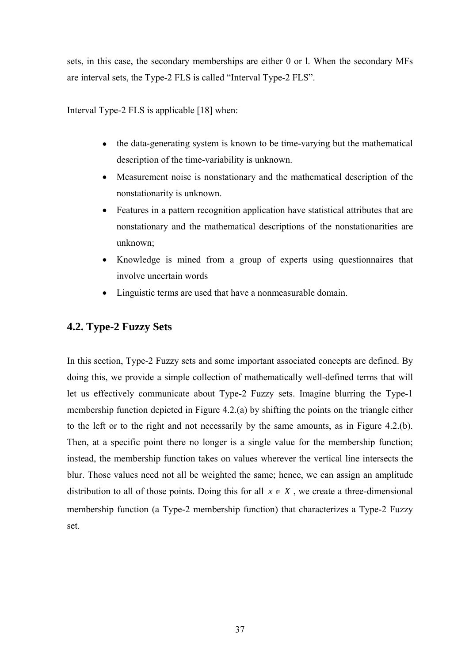sets, in this case, the secondary memberships are either 0 or l. When the secondary MFs are interval sets, the Type-2 FLS is called "Interval Type-2 FLS".

Interval Type-2 FLS is applicable [18] when:

- the data-generating system is known to be time-varying but the mathematical description of the time-variability is unknown.
- Measurement noise is nonstationary and the mathematical description of the nonstationarity is unknown.
- Features in a pattern recognition application have statistical attributes that are nonstationary and the mathematical descriptions of the nonstationarities are unknown;
- Knowledge is mined from a group of experts using questionnaires that involve uncertain words
- Linguistic terms are used that have a nonmeasurable domain.

### **4.2. Type-2 Fuzzy Sets**

In this section, Type-2 Fuzzy sets and some important associated concepts are defined. By doing this, we provide a simple collection of mathematically well-defined terms that will let us effectively communicate about Type-2 Fuzzy sets. Imagine blurring the Type-1 membership function depicted in Figure 4.2.(a) by shifting the points on the triangle either to the left or to the right and not necessarily by the same amounts, as in Figure 4.2.(b). Then, at a specific point there no longer is a single value for the membership function; instead, the membership function takes on values wherever the vertical line intersects the blur. Those values need not all be weighted the same; hence, we can assign an amplitude distribution to all of those points. Doing this for all  $x \in X$ , we create a three-dimensional membership function (a Type-2 membership function) that characterizes a Type-2 Fuzzy set.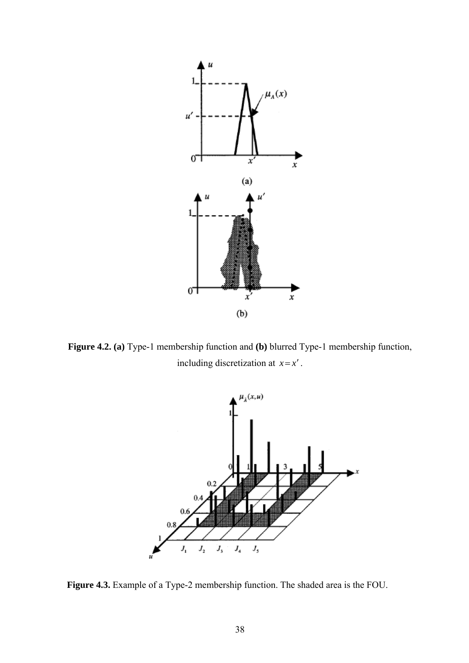

**Figure 4.2. (a)** Type-1 membership function and **(b)** blurred Type-1 membership function, including discretization at  $x = x'$ .



**Figure 4.3.** Example of a Type-2 membership function. The shaded area is the FOU.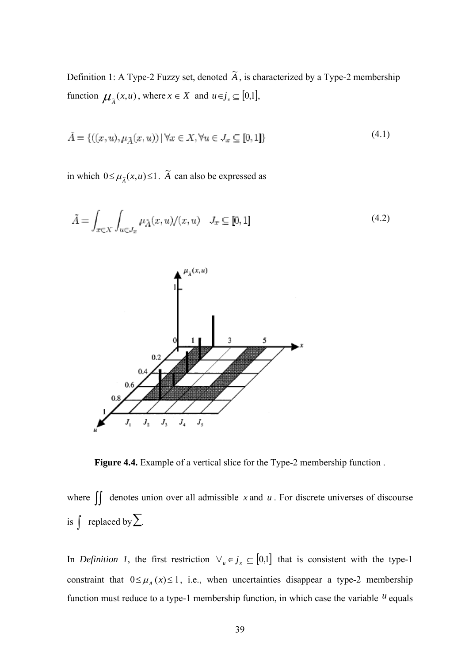Definition 1: A Type-2 Fuzzy set, denoted  $\widetilde{A}$ , is characterized by a Type-2 membership function  $\mu_{\tilde{A}}(x, u)$ , where  $x \in X$  and  $u \in j_x \subseteq [0,1]$ ,

$$
\tilde{A} = \{((x, u), \mu_{\tilde{A}}(x, u)) \mid \forall x \in X, \forall u \in J_x \subseteq [0, 1]\}\
$$
\n
$$
(4.1)
$$

in which  $0 \le \mu_{\tilde{A}}(x, u) \le 1$ .  $\tilde{A}$  can also be expressed as

$$
\tilde{A} = \int_{x \in X} \int_{u \in J_x} \mu_{\tilde{A}}(x, u) / (x, u) \quad J_x \subseteq [0, 1]
$$
\n(4.2)



**Figure 4.4.** Example of a vertical slice for the Type-2 membership function .

where ∫∫ denotes union over all admissible *<sup>x</sup>* and *<sup>u</sup>* . For discrete universes of discourse is  $\int$  replaced by  $\sum$ .

In *Definition 1*, the first restriction  $\forall u \in \mathcal{J}_x \subseteq [0,1]$  that is consistent with the type-1 constraint that  $0 \leq \mu_A(x) \leq 1$ , i.e., when uncertainties disappear a type-2 membership function must reduce to a type-1 membership function, in which case the variable  $<sup>u</sup>$  equals</sup>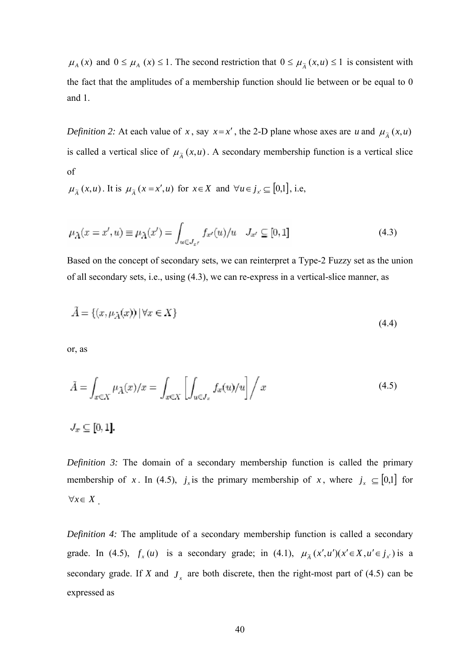$\mu_A(x)$  and  $0 \le \mu_A(x) \le 1$ . The second restriction that  $0 \le \mu_{\tilde{A}}(x, u) \le 1$  is consistent with the fact that the amplitudes of a membership function should lie between or be equal to 0 and 1.

*Definition 2:* At each value of *x*, say  $x = x'$ , the 2-D plane whose axes are *u* and  $\mu_{\tilde{A}}(x, u)$ is called a vertical slice of  $\mu_{\tilde{A}}(x,u)$ . A secondary membership function is a vertical slice of

 $\mu_{\tilde{A}}(x, u)$ . It is  $\mu_{\tilde{A}}(x = x', u)$  for  $x \in X$  and  $\forall u \in j_{x'} \subseteq [0, 1]$ , i.e,

$$
\mu_{\tilde{A}}(x = x', u) \equiv \mu_{\tilde{A}}(x') = \int_{u \in J_{x'}} f_{x'}(u) / u \quad J_{x'} \subseteq [0, 1] \tag{4.3}
$$

Based on the concept of secondary sets, we can reinterpret a Type-2 Fuzzy set as the union of all secondary sets, i.e., using (4.3), we can re-express in a vertical-slice manner, as

$$
\tilde{A} = \{(x, \mu_{\tilde{A}}(x)) \mid \forall x \in X\}
$$
\n
$$
(4.4)
$$

or, as

$$
\tilde{A} = \int_{x \in X} \mu_{\tilde{A}}(x)/x = \int_{x \in X} \left[ \int_{u \in J_x} f_x(u)/u \right] / x \tag{4.5}
$$

 $J_x \subseteq [0,1]$ .

*Definition 3:* The domain of a secondary membership function is called the primary membership of *x*. In (4.5),  $j_x$  is the primary membership of *x*, where  $j_x \subseteq [0,1]$  for ∀*x*∈ *X* .

*Definition 4:* The amplitude of a secondary membership function is called a secondary grade. In (4.5),  $f_x(u)$  is a secondary grade; in (4.1),  $\mu_{\tilde{A}}(x',u')(x' \in X, u' \in j_{x'})$  is a secondary grade. If *X* and  $J<sub>x</sub>$  are both discrete, then the right-most part of (4.5) can be expressed as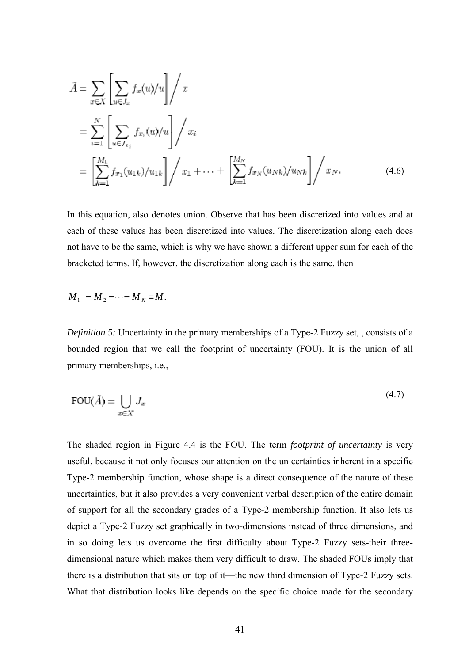$$
\tilde{A} = \sum_{x \in X} \left[ \sum_{u \in J_x} f_x(u)/u \right] / x \n= \sum_{i=1}^N \left[ \sum_{u \in J_{x_i}} f_{x_i}(u)/u \right] / x_i \n= \left[ \sum_{k=1}^{M_1} f_{x_1}(u_{1k})/u_{1k} \right] / x_1 + \dots + \left[ \sum_{k=1}^{M_N} f_{x_N}(u_{Nk})/u_{Nk} \right] / x_N.
$$
\n(4.6)

In this equation, also denotes union. Observe that has been discretized into values and at each of these values has been discretized into values. The discretization along each does not have to be the same, which is why we have shown a different upper sum for each of the bracketed terms. If, however, the discretization along each is the same, then

$$
M_1 = M_2 = \cdots = M_N = M.
$$

*Definition 5:* Uncertainty in the primary memberships of a Type-2 Fuzzy set, , consists of a bounded region that we call the footprint of uncertainty (FOU). It is the union of all primary memberships, i.e.,

$$
\text{FOU}(\tilde{A}) = \bigcup_{x \in X} J_x \tag{4.7}
$$

The shaded region in Figure 4.4 is the FOU. The term *footprint of uncertainty* is very useful, because it not only focuses our attention on the un certainties inherent in a specific Type-2 membership function, whose shape is a direct consequence of the nature of these uncertainties, but it also provides a very convenient verbal description of the entire domain of support for all the secondary grades of a Type-2 membership function. It also lets us depict a Type-2 Fuzzy set graphically in two-dimensions instead of three dimensions, and in so doing lets us overcome the first difficulty about Type-2 Fuzzy sets-their threedimensional nature which makes them very difficult to draw. The shaded FOUs imply that there is a distribution that sits on top of it—the new third dimension of Type-2 Fuzzy sets. What that distribution looks like depends on the specific choice made for the secondary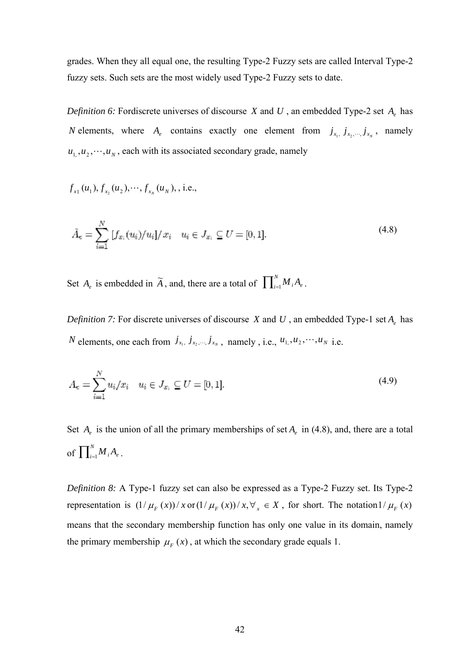grades. When they all equal one, the resulting Type-2 Fuzzy sets are called Interval Type-2 fuzzy sets. Such sets are the most widely used Type-2 Fuzzy sets to date.

*Definition 6:* Fordiscrete universes of discourse *X* and *U*, an embedded Type-2 set  $A_{\rho}$  has *N* elements, where  $A_e$  contains exactly one element from  $j_{x_1}, j_{x_2},..., j_{x_N}$ , namely  $u_1, u_2, \dots, u_N$ , each with its associated secondary grade, namely

$$
f_{x_1}(u_1), f_{x_2}(u_2), \cdots, f_{x_N}(u_N),
$$
, i.e.,

$$
\tilde{A}_{c} = \sum_{i=1}^{N} [f_{x_i}(u_i)/u_i]/x_i \quad u_i \in J_{x_i} \subseteq U = [0, 1].
$$
\n(4.8)

Set  $A_e$  is embedded in  $\widetilde{A}$ , and, there are a total of  $\prod_{i=1}^{N} M_i A_e$ .

*Definition 7:* For discrete universes of discourse *X* and *U*, an embedded Type-1 set  $A_e$  has *N* elements, one each from  $j_{x_1}, j_{x_2},..., j_{x_N}$ , namely, i.e.,  $u_1, u_2, \dots, u_N$  i.e.

$$
A_e = \sum_{i=1}^{N} u_i / x_i \quad u_i \in J_{x_i} \subseteq U = [0, 1].
$$
\n(4.9)

Set  $A_e$  is the union of all the primary memberships of set  $A_e$  in (4.8), and, there are a total of  $\prod_{i=1}^{N} M_i A_e$ .

*Definition 8:* A Type-1 fuzzy set can also be expressed as a Type-2 Fuzzy set. Its Type-2 representation is  $\frac{1}{\mu_F}(x)/x$  or  $\frac{1}{\mu_F}(x)/x$ ,  $\forall_x \in X$ , for short. The notation  $\frac{1}{\mu_F}(x)$ means that the secondary membership function has only one value in its domain, namely the primary membership  $\mu_F(x)$ , at which the secondary grade equals 1.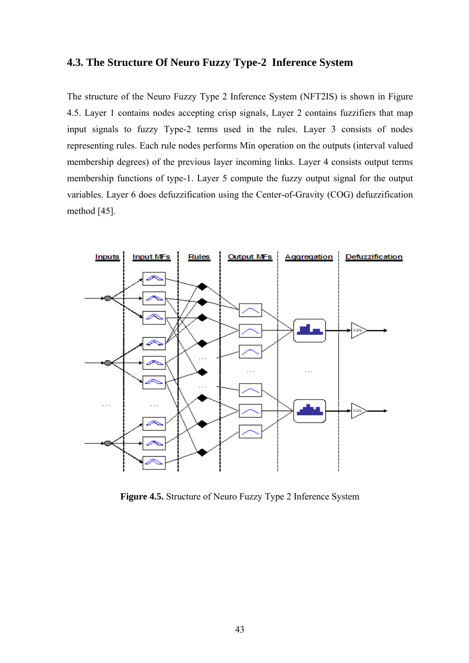#### **4.3. The Structure Of Neuro Fuzzy Type-2 Inference System**

The structure of the Neuro Fuzzy Type 2 Inference System (NFT2IS) is shown in Figure 4.5. Layer 1 contains nodes accepting crisp signals, Layer 2 contains fuzzifiers that map input signals to fuzzy Type-2 terms used in the rules. Layer 3 consists of nodes representing rules. Each rule nodes performs Min operation on the outputs (interval valued membership degrees) of the previous layer incoming links. Layer 4 consists output terms membership functions of type-1. Layer 5 compute the fuzzy output signal for the output variables. Layer 6 does defuzzification using the Center-of-Gravity (COG) defuzzification method [45].



**Figure 4.5.** Structure of Neuro Fuzzy Type 2 Inference System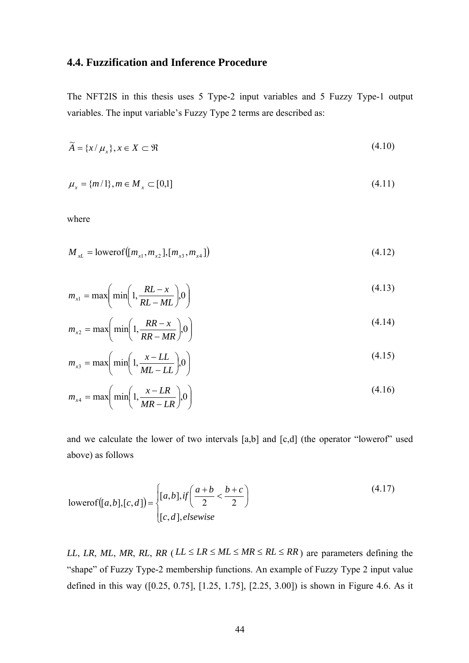### **4.4. Fuzzification and Inference Procedure**

The NFT2IS in this thesis uses 5 Type-2 input variables and 5 Fuzzy Type-1 output variables. The input variable's Fuzzy Type 2 terms are described as:

$$
\widetilde{A} = \{x/\mu_x\}, x \in X \subset \mathfrak{R} \tag{4.10}
$$

$$
\mu_x = \{m/1\}, m \in M_x \subset [0,1]
$$
\n(4.11)

where

$$
M_{xL} = \text{lowerof}([m_{x1}, m_{x2}], [m_{x3}, m_{x4}])
$$
\n(4.12)

$$
m_{x1} = \max\left(\min\left(1, \frac{RL - x}{RL - ML}\right), 0\right) \tag{4.13}
$$

$$
m_{x2} = \max\left(\min\left(1, \frac{RR - x}{RR - MR}\right), 0\right) \tag{4.14}
$$

$$
m_{x3} = \max\left(\min\left(1, \frac{x - LL}{ML - LL}\right), 0\right) \tag{4.15}
$$

$$
m_{x4} = \max\left(\min\left(1, \frac{x - LR}{MR - LR}\right), 0\right) \tag{4.16}
$$

and we calculate the lower of two intervals [a,b] and [c,d] (the operator "lowerof" used above) as follows

$$
lowerof([a,b],[c,d]) = \begin{cases} [a,b], \text{if} \left( \frac{a+b}{2} < \frac{b+c}{2} \right) \\ [c,d], \text{elsewise} \end{cases} \tag{4.17}
$$

*LL*, *LR*, *ML*, *MR*, *RL*, *RR* ( $LL \leq LR \leq ML \leq MR \leq RL \leq RR$ ) are parameters defining the "shape" of Fuzzy Type-2 membership functions. An example of Fuzzy Type 2 input value defined in this way ([0.25, 0.75], [1.25, 1.75], [2.25, 3.00]) is shown in Figure 4.6. As it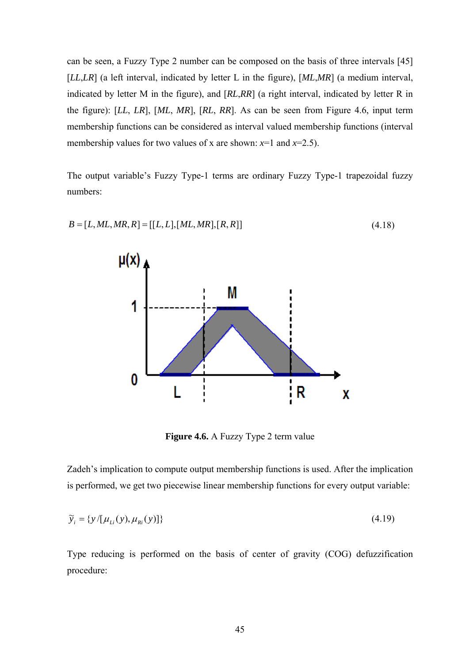can be seen, a Fuzzy Type 2 number can be composed on the basis of three intervals [45] [*LL*,*LR*] (a left interval, indicated by letter L in the figure), [*ML*,*MR*] (a medium interval, indicated by letter M in the figure), and [*RL*,*RR*] (a right interval, indicated by letter R in the figure): [*LL*, *LR*], [*ML*, *MR*], [*RL*, *RR*]. As can be seen from Figure 4.6, input term membership functions can be considered as interval valued membership functions (interval membership values for two values of x are shown:  $x=1$  and  $x=2.5$ ).

The output variable's Fuzzy Type-1 terms are ordinary Fuzzy Type-1 trapezoidal fuzzy numbers:



**Figure 4.6.** A Fuzzy Type 2 term value

Zadeh's implication to compute output membership functions is used. After the implication is performed, we get two piecewise linear membership functions for every output variable:

$$
\widetilde{y}_i = \{ y / [\mu_{Li}(y), \mu_{Ri}(y)] \} \tag{4.19}
$$

Type reducing is performed on the basis of center of gravity (COG) defuzzification procedure: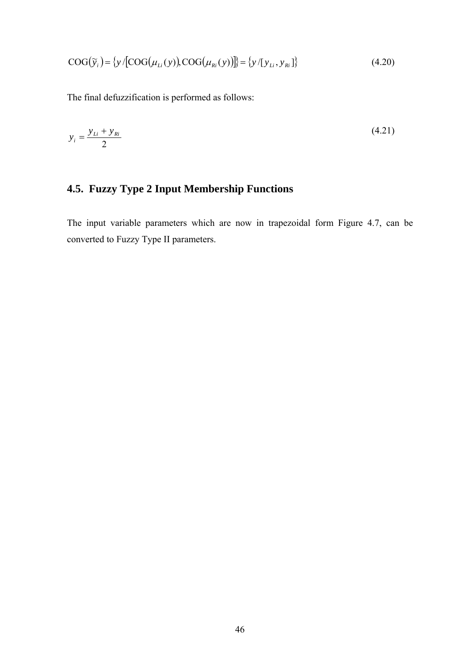$$
COG(\widetilde{y}_i) = \{y/[COG(\mu_{Li}(y)), COG(\mu_{Ri}(y))]\} = \{y/[y_{Li}, y_{Ri}]\}
$$
(4.20)

The final defuzzification is performed as follows:

$$
y_i = \frac{y_{Li} + y_{Ri}}{2} \tag{4.21}
$$

# **4.5. Fuzzy Type 2 Input Membership Functions**

The input variable parameters which are now in trapezoidal form Figure 4.7, can be converted to Fuzzy Type II parameters.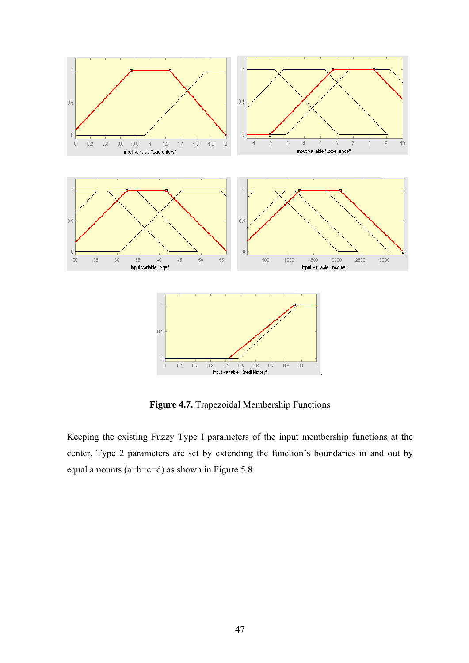

**Figure 4.7.** Trapezoidal Membership Functions

Keeping the existing Fuzzy Type I parameters of the input membership functions at the center, Type 2 parameters are set by extending the function's boundaries in and out by equal amounts (a=b=c=d) as shown in Figure 5.8.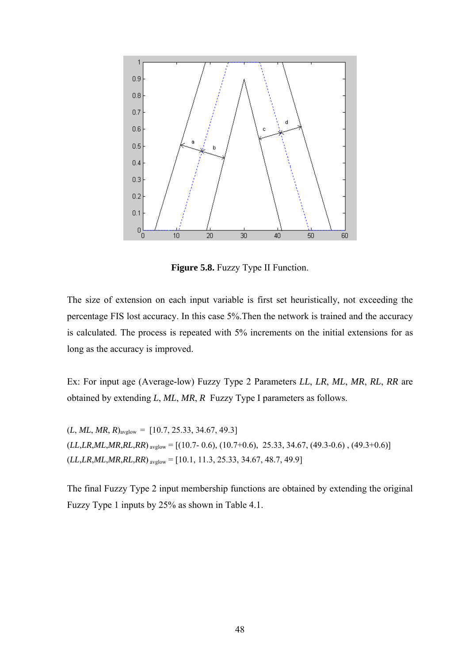

**Figure 5.8.** Fuzzy Type II Function.

The size of extension on each input variable is first set heuristically, not exceeding the percentage FIS lost accuracy. In this case 5%.Then the network is trained and the accuracy is calculated. The process is repeated with 5% increments on the initial extensions for as long as the accuracy is improved.

Ex: For input age (Average-low) Fuzzy Type 2 Parameters *LL*, *LR*, *ML*, *MR*, *RL*, *RR* are obtained by extending *L*, *ML*, *MR*, *R* Fuzzy Type I parameters as follows.

 $(L, ML, MR, R)_{\text{avglow}} = [10.7, 25.33, 34.67, 49.3]$  $(L,LR,ML,MR,RL,RR)$ <sub>avglow</sub> = [(10.7- 0.6), (10.7+0.6), 25.33, 34.67, (49.3-0.6), (49.3+0.6)]  $(LL,LR,ML,MR,RL,RR)$ <sub>avglow</sub> = [10.1, 11.3, 25.33, 34.67, 48.7, 49.9]

The final Fuzzy Type 2 input membership functions are obtained by extending the original Fuzzy Type 1 inputs by 25% as shown in Table 4.1.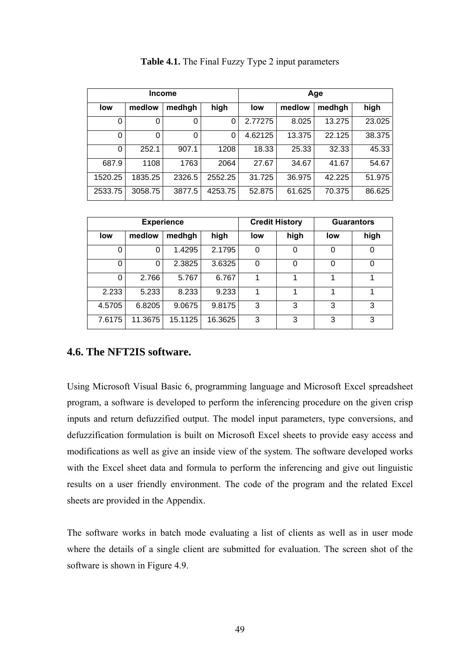|         |         | <b>Income</b> |         | Age     |        |        |        |  |  |
|---------|---------|---------------|---------|---------|--------|--------|--------|--|--|
| low     | medlow  | medhgh        | high    | low     | medlow | medhgh | high   |  |  |
| 0       | 0       | 0             | 0       | 2.77275 | 8.025  | 13.275 | 23.025 |  |  |
| 0       | ი       | 0             | 0       | 4.62125 | 13.375 | 22.125 | 38.375 |  |  |
| 0       | 252.1   | 907.1         | 1208    | 18.33   | 25.33  | 32.33  | 45.33  |  |  |
| 687.9   | 1108    | 1763          | 2064    | 27.67   | 34.67  | 41.67  | 54.67  |  |  |
| 1520.25 | 1835.25 | 2326.5        | 2552.25 | 31.725  | 36.975 | 42.225 | 51.975 |  |  |
| 2533.75 | 3058.75 | 3877.5        | 4253.75 | 52.875  | 61.625 | 70.375 | 86.625 |  |  |

**Table 4.1.** The Final Fuzzy Type 2 input parameters

|        |          | <b>Experience</b> |         |     | <b>Credit History</b> |     | <b>Guarantors</b> |
|--------|----------|-------------------|---------|-----|-----------------------|-----|-------------------|
| low    | medlow   | medhgh            | high    | low | high                  | low | high              |
| 0      | 0        | 1.4295            | 2.1795  | 0   |                       | 0   | 0                 |
| 0      | $\Omega$ | 2.3825            | 3.6325  | 0   | 0                     | 0   | 0                 |
| 0      | 2.766    | 5.767             | 6.767   | 1   | 4                     | 1   |                   |
| 2.233  | 5.233    | 8.233             | 9.233   |     |                       |     |                   |
| 4.5705 | 6.8205   | 9.0675            | 9.8175  | 3   | 3                     | 3   | 3                 |
| 7.6175 | 11.3675  | 15.1125           | 16.3625 | 3   | 3                     | 3   | 3                 |

### **4.6. The NFT2IS software.**

Using Microsoft Visual Basic 6, programming language and Microsoft Excel spreadsheet program, a software is developed to perform the inferencing procedure on the given crisp inputs and return defuzzified output. The model input parameters, type conversions, and defuzzification formulation is built on Microsoft Excel sheets to provide easy access and modifications as well as give an inside view of the system. The software developed works with the Excel sheet data and formula to perform the inferencing and give out linguistic results on a user friendly environment. The code of the program and the related Excel sheets are provided in the Appendix.

The software works in batch mode evaluating a list of clients as well as in user mode where the details of a single client are submitted for evaluation. The screen shot of the software is shown in Figure 4.9.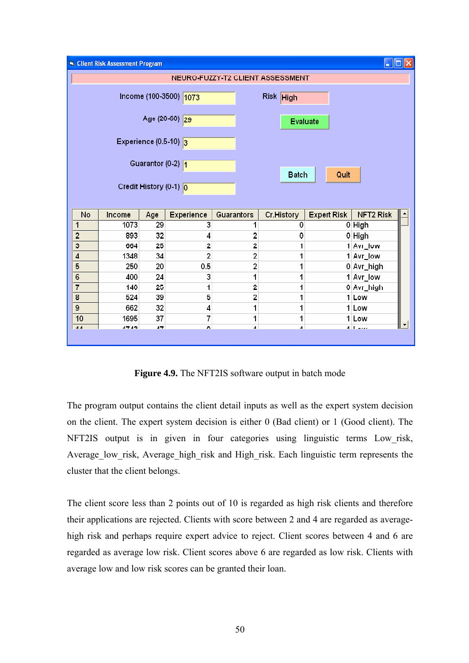|                | Client Risk Assessment Program |                                  |                        |                |                                  |                    |            | $\blacksquare$ $\blacksquare$ $\times$ |
|----------------|--------------------------------|----------------------------------|------------------------|----------------|----------------------------------|--------------------|------------|----------------------------------------|
|                |                                |                                  |                        |                | NEURO-FUZZY-T2 CLIENT ASSESSMENT |                    |            |                                        |
|                |                                |                                  |                        |                |                                  |                    |            |                                        |
|                |                                |                                  | Income (100-3500) 1073 |                | Risk High                        |                    |            |                                        |
|                |                                |                                  |                        |                |                                  |                    |            |                                        |
|                |                                |                                  | Age (20-60) 29         |                | <b>Evaluate</b>                  |                    |            |                                        |
|                |                                | Experience $(0.5-10)$ 3          |                        |                |                                  |                    |            |                                        |
|                |                                |                                  |                        |                |                                  |                    |            |                                        |
|                |                                |                                  |                        |                |                                  |                    |            |                                        |
|                |                                | Guarantor (0-2) $\sqrt{1}$       |                        |                |                                  |                    |            |                                        |
|                |                                |                                  |                        |                | <b>Batch</b>                     | Quit               |            |                                        |
|                |                                | Credit History (0-1) $\boxed{0}$ |                        |                |                                  |                    |            |                                        |
|                |                                |                                  |                        |                |                                  |                    |            |                                        |
| No             | Income                         | Age                              | Experience             | Guarantors     | Cr.History                       | <b>Expert Risk</b> | NFT2 Risk  |                                        |
| 1              | 1073                           | 29                               | 3                      | 1              | 0                                |                    | $0$ High   |                                        |
| $\overline{c}$ | 893                            | 32                               | 4                      | 2              | 0                                |                    | 0 High     |                                        |
| 3              | 664                            | 25                               | 2                      | 2              | 1                                |                    | 1 Avr_low  |                                        |
| $\overline{4}$ | 1348                           | 34                               | $\overline{2}$         | 2              | 1                                |                    | 1 Avr_low  |                                        |
| 5              | 250                            | 20                               | 0.5                    | $\overline{2}$ | 1                                |                    | 0 Avr_high |                                        |
| 6              | 400                            | 24                               | 3                      | 1              | 1                                |                    | 1 Avr_low  |                                        |
| $\overline{7}$ | 140                            | 25                               | 1                      | 2              | 1                                |                    | 0 Avr_high |                                        |
| 8              | 524                            | 39                               | 5                      | 2              | 1                                |                    | 1 Low      |                                        |
| 9              | 662                            | 32                               | 4                      | 1              | 1                                |                    | 1 Low      |                                        |
| 10             | 1695                           | 37                               | 7                      | 1              | 1                                |                    | 1 Low      |                                        |
| AA             | 1712                           | 17                               | r.                     | $\overline{A}$ | $\overline{A}$                   |                    | ممحمالة    | ▼                                      |
|                |                                |                                  |                        |                |                                  |                    |            |                                        |

**Figure 4.9.** The NFT2IS software output in batch mode

The program output contains the client detail inputs as well as the expert system decision on the client. The expert system decision is either 0 (Bad client) or 1 (Good client). The NFT2IS output is in given in four categories using linguistic terms Low\_risk, Average\_low\_risk, Average\_high\_risk and High\_risk. Each linguistic term represents the cluster that the client belongs.

The client score less than 2 points out of 10 is regarded as high risk clients and therefore their applications are rejected. Clients with score between 2 and 4 are regarded as averagehigh risk and perhaps require expert advice to reject. Client scores between 4 and 6 are regarded as average low risk. Client scores above 6 are regarded as low risk. Clients with average low and low risk scores can be granted their loan.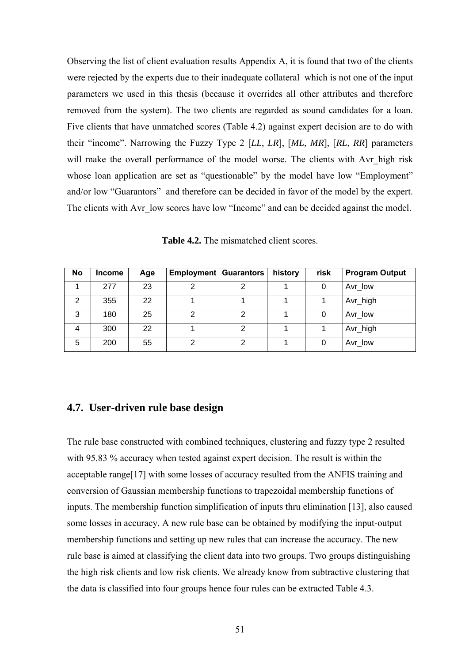Observing the list of client evaluation results Appendix A, it is found that two of the clients were rejected by the experts due to their inadequate collateral which is not one of the input parameters we used in this thesis (because it overrides all other attributes and therefore removed from the system). The two clients are regarded as sound candidates for a loan. Five clients that have unmatched scores (Table 4.2) against expert decision are to do with their "income". Narrowing the Fuzzy Type 2 [*LL*, *LR*], [*ML*, *MR*], [*RL*, *RR*] parameters will make the overall performance of the model worse. The clients with Avr high risk whose loan application are set as "questionable" by the model have low "Employment" and/or low "Guarantors" and therefore can be decided in favor of the model by the expert. The clients with Avr low scores have low "Income" and can be decided against the model.

| <b>Table 4.2.</b> The mismatched client scores. |
|-------------------------------------------------|
|-------------------------------------------------|

| No | <b>Income</b> | Age | <b>Employment   Guarantors  </b> |   | history | risk | <b>Program Output</b> |
|----|---------------|-----|----------------------------------|---|---------|------|-----------------------|
|    | 277           | 23  | ົ                                | 2 |         |      | Avr low               |
| 2  | 355           | 22  |                                  |   |         |      | Avr_high              |
| 3  | 180           | 25  |                                  | っ |         |      | Avr_low               |
| 4  | 300           | 22  |                                  | ◠ |         |      | Avr_high              |
| 5  | 200           | 55  | ⌒                                | ◠ |         |      | Avr_low               |

#### **4.7. User-driven rule base design**

The rule base constructed with combined techniques, clustering and fuzzy type 2 resulted with 95.83 % accuracy when tested against expert decision. The result is within the acceptable range[17] with some losses of accuracy resulted from the ANFIS training and conversion of Gaussian membership functions to trapezoidal membership functions of inputs. The membership function simplification of inputs thru elimination [13], also caused some losses in accuracy. A new rule base can be obtained by modifying the input-output membership functions and setting up new rules that can increase the accuracy. The new rule base is aimed at classifying the client data into two groups. Two groups distinguishing the high risk clients and low risk clients. We already know from subtractive clustering that the data is classified into four groups hence four rules can be extracted Table 4.3.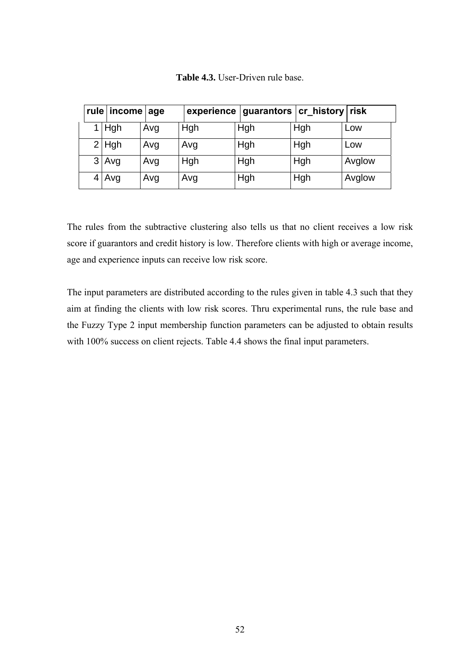| rule income age |  |            |     |     | experience   guarantors   cr_history   risk |     |        |
|-----------------|--|------------|-----|-----|---------------------------------------------|-----|--------|
|                 |  | <b>Hgh</b> | Avg | Hgh | Hgh                                         | Hgh | Low    |
|                 |  | $2$ Hgh    | Avg | Avg | Hgh                                         | Hgh | Low    |
|                 |  | 3 Avg      | Avg | Hgh | Hgh                                         | Hgh | Avglow |
|                 |  | $4$ Avg    | Avg | Avg | Hgh                                         | Hgh | Avglow |

**Table 4.3.** User-Driven rule base.

The rules from the subtractive clustering also tells us that no client receives a low risk score if guarantors and credit history is low. Therefore clients with high or average income, age and experience inputs can receive low risk score.

The input parameters are distributed according to the rules given in table 4.3 such that they aim at finding the clients with low risk scores. Thru experimental runs, the rule base and the Fuzzy Type 2 input membership function parameters can be adjusted to obtain results with 100% success on client rejects. Table 4.4 shows the final input parameters.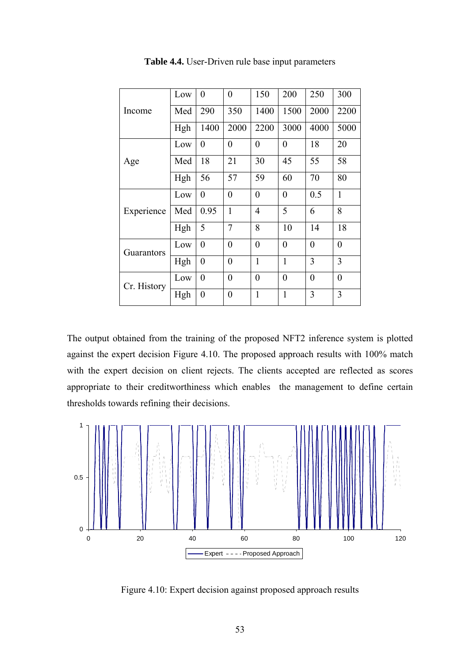|             | Low | $\theta$         | $\overline{0}$   | 150              | 200              | 250              | 300              |
|-------------|-----|------------------|------------------|------------------|------------------|------------------|------------------|
| Income      | Med | 290              | 350              | 1400             | 1500             | 2000             | 2200             |
|             | Hgh | 1400             | 2000             | 2200             | 3000             | 4000             | 5000             |
|             | Low | $\overline{0}$   | $\boldsymbol{0}$ | $\boldsymbol{0}$ | $\boldsymbol{0}$ | 18               | 20               |
| Age         | Med | 18               | 21               | 30               | 45               | 55               | 58               |
|             | Hgh | 56               | 57               | 59               | 60               | 70               | 80               |
|             | Low | $\overline{0}$   | $\overline{0}$   | $\overline{0}$   | $\overline{0}$   | 0.5              | $\mathbf{1}$     |
| Experience  | Med | 0.95             | 1                | $\overline{4}$   | 5                | 6                | 8                |
|             | Hgh | 5                | $\overline{7}$   | 8                | 10               | 14               | 18               |
| Guarantors  | Low | $\overline{0}$   | $\overline{0}$   | $\overline{0}$   | $\overline{0}$   | $\overline{0}$   | $\boldsymbol{0}$ |
|             | Hgh | $\boldsymbol{0}$ | $\overline{0}$   | $\mathbf{1}$     | $\mathbf{1}$     | 3                | 3                |
| Cr. History | Low | $\overline{0}$   | $\boldsymbol{0}$ | $\theta$         | $\overline{0}$   | $\boldsymbol{0}$ | $\boldsymbol{0}$ |
|             | Hgh | $\boldsymbol{0}$ | $\overline{0}$   | $\mathbf{1}$     | $\mathbf{1}$     | 3                | 3                |

**Table 4.4.** User-Driven rule base input parameters

The output obtained from the training of the proposed NFT2 inference system is plotted against the expert decision Figure 4.10. The proposed approach results with 100% match with the expert decision on client rejects. The clients accepted are reflected as scores appropriate to their creditworthiness which enables the management to define certain thresholds towards refining their decisions.

![](_page_60_Figure_3.jpeg)

Figure 4.10: Expert decision against proposed approach results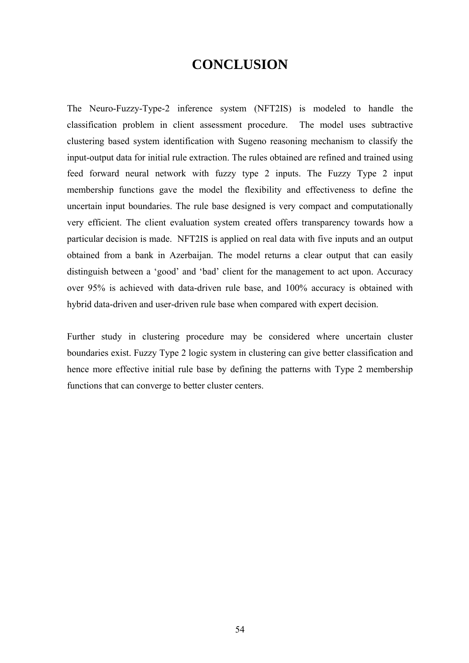# **CONCLUSION**

The Neuro-Fuzzy-Type-2 inference system (NFT2IS) is modeled to handle the classification problem in client assessment procedure. The model uses subtractive clustering based system identification with Sugeno reasoning mechanism to classify the input-output data for initial rule extraction. The rules obtained are refined and trained using feed forward neural network with fuzzy type 2 inputs. The Fuzzy Type 2 input membership functions gave the model the flexibility and effectiveness to define the uncertain input boundaries. The rule base designed is very compact and computationally very efficient. The client evaluation system created offers transparency towards how a particular decision is made. NFT2IS is applied on real data with five inputs and an output obtained from a bank in Azerbaijan. The model returns a clear output that can easily distinguish between a 'good' and 'bad' client for the management to act upon. Accuracy over 95% is achieved with data-driven rule base, and 100% accuracy is obtained with hybrid data-driven and user-driven rule base when compared with expert decision.

Further study in clustering procedure may be considered where uncertain cluster boundaries exist. Fuzzy Type 2 logic system in clustering can give better classification and hence more effective initial rule base by defining the patterns with Type 2 membership functions that can converge to better cluster centers.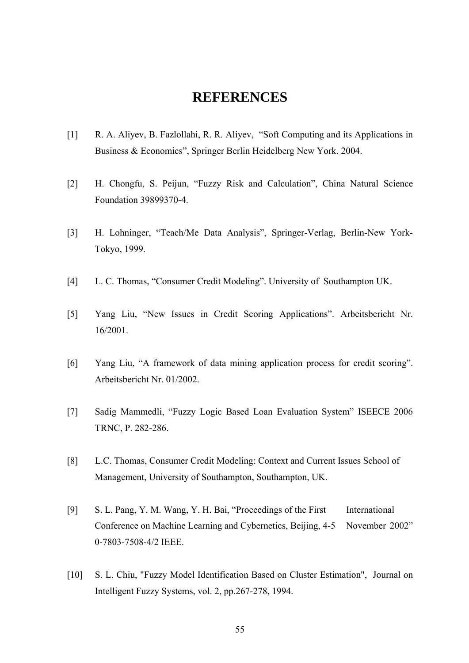## **REFERENCES**

- [1] R. A. Aliyev, B. Fazlollahi, R. R. Aliyev, "Soft Computing and its Applications in Business & Economics", Springer Berlin Heidelberg New York. 2004.
- [2] H. Chongfu, S. Peijun, "Fuzzy Risk and Calculation", China Natural Science Foundation 39899370-4.
- [3] H. Lohninger, "Teach/Me Data Analysis", Springer-Verlag, Berlin-New York- Tokyo, 1999.
- [4] L. C. Thomas, "Consumer Credit Modeling". University of Southampton UK.
- [5] Yang Liu, "New Issues in Credit Scoring Applications". Arbeitsbericht Nr. 16/2001.
- [6] Yang Liu, "A framework of data mining application process for credit scoring". Arbeitsbericht Nr. 01/2002.
- [7] Sadig Mammedli, "Fuzzy Logic Based Loan Evaluation System" ISEECE 2006 TRNC, P. 282-286.
- [8] L.C. Thomas, Consumer Credit Modeling: Context and Current Issues School of Management, University of Southampton, Southampton, UK.
- [9] S. L. Pang, Y. M. Wang, Y. H. Bai, "Proceedings of the First International Conference on Machine Learning and Cybernetics, Beijing, 4-5 November 2002" 0-7803-7508-4/2 IEEE.
- [10] S. L. Chiu, "Fuzzy Model Identification Based on Cluster Estimation", Journal on Intelligent Fuzzy Systems, vol. 2, pp.267-278, 1994.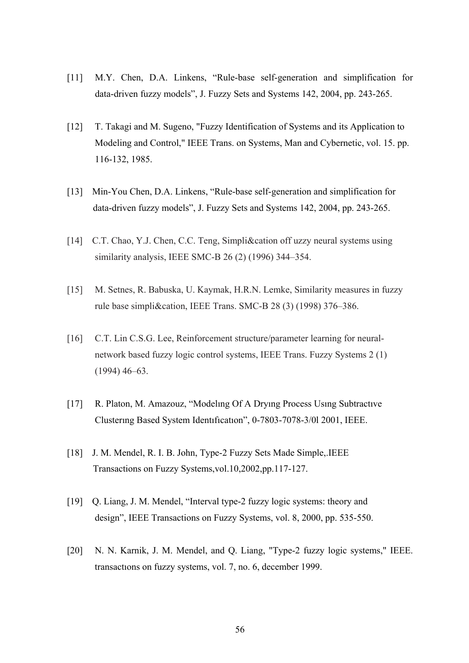- [11] M.Y. Chen, D.A. Linkens, "Rule-base self-generation and simplification for data-driven fuzzy models", J. Fuzzy Sets and Systems 142, 2004, pp. 243-265.
- [12] T. Takagi and M. Sugeno, "Fuzzy Identification of Systems and its Application to Modeling and Control," IEEE Trans. on Systems, Man and Cybernetic, vol. 15. pp. 116-132, 1985.
- [13] Min-You Chen, D.A. Linkens, "Rule-base self-generation and simplification for data-driven fuzzy models", J. Fuzzy Sets and Systems 142, 2004, pp. 243-265.
- [14] C.T. Chao, Y.J. Chen, C.C. Teng, Simpli&cation off uzzy neural systems using similarity analysis, IEEE SMC-B 26 (2) (1996) 344–354.
- [15] M. Setnes, R. Babuska, U. Kaymak, H.R.N. Lemke, Similarity measures in fuzzy rule base simpli&cation, IEEE Trans. SMC-B 28 (3) (1998) 376–386.
- [16] C.T. Lin C.S.G. Lee, Reinforcement structure/parameter learning for neural network based fuzzy logic control systems, IEEE Trans. Fuzzy Systems 2 (1) (1994) 46–63.
- [17] R. Platon, M. Amazouz, "Modelıng Of A Dryıng Process Usıng Subtractıve Clusterıng Based System Identıfıcatıon", 0-7803-7078-3/0l 2001, IEEE.
- [18] J. M. Mendel, R. I. B. John, Type-2 Fuzzy Sets Made Simple,.IEEE Transactions on Fuzzy Systems,vol.10,2002,pp.117-127.
- [19] Q. Liang, J. M. Mendel, "Interval type-2 fuzzy logic systems: theory and design", IEEE Transactions on Fuzzy Systems, vol. 8, 2000, pp. 535-550.
- [20] N. N. Karnik, J. M. Mendel, and Q. Liang, "Type-2 fuzzy logic systems," IEEE. transactıons on fuzzy systems, vol. 7, no. 6, december 1999.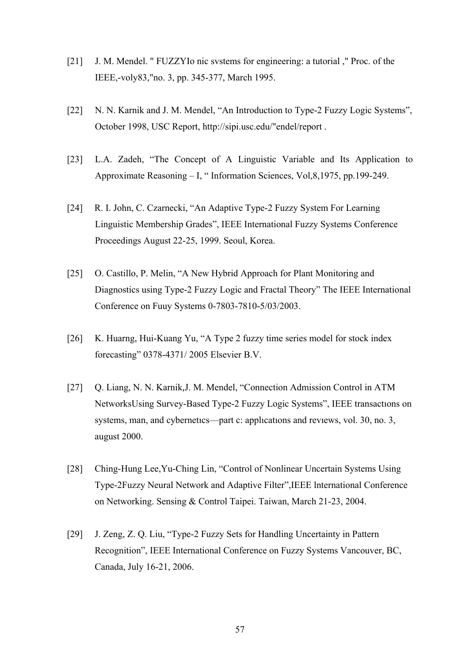- [21] J. M. Mendel. " FUZZYIo nic svstems for engineering: a tutorial ," Proc. of the IEEE,-voly83,"no. 3, pp. 345-377, March 1995.
- [22] N. N. Karnik and J. M. Mendel, "An Introduction to Type-2 Fuzzy Logic Systems", October 1998, USC Report, http://sipi.usc.edu/"endel/report .
- [23] L.A. Zadeh, "The Concept of A Linguistic Variable and Its Application to Approximate Reasoning – I, " Information Sciences, Vol,8,1975, pp.199-249.
- [24] R. I. John, C. Czarnecki, "An Adaptive Type-2 Fuzzy System For Learning Linguistic Membership Grades", IEEE International Fuzzy Systems Conference Proceedings August 22-25, 1999. Seoul, Korea.
- [25] O. Castillo, P. Melin, "A New Hybrid Approach for Plant Monitoring and Diagnostics using Type-2 Fuzzy Logic and Fractal Theory" The IEEE International Conference on Fuuy Systems 0-7803-7810-5/03/2003.
- [26] K. Huarng, Hui-Kuang Yu, "A Type 2 fuzzy time series model for stock index forecasting" 0378-4371/ 2005 Elsevier B.V.
- [27] Q. Liang, N. N. Karnik*,*J. M. Mendel, "Connection Admission Control in ATM NetworksUsing Survey-Based Type-2 Fuzzy Logic Systems", IEEE transactıons on systems, man, and cybernetıcs—part c: applıcatıons and revıews, vol. 30, no. 3, august 2000.
- [28] Ching-Hung Lee,Yu-Ching Lin, "Control of Nonlinear Uncertain Systems Using Type-2Fuzzy Neural Network and Adaptive Filter",IEEE lnternational Conference on Networking. Sensing & Control Taipei. Taiwan, March 21-23, 2004.
- [29] J. Zeng, Z. Q. Liu, "Type-2 Fuzzy Sets for Handling Uncertainty in Pattern Recognition", IEEE International Conference on Fuzzy Systems Vancouver, BC, Canada, July 16-21, 2006.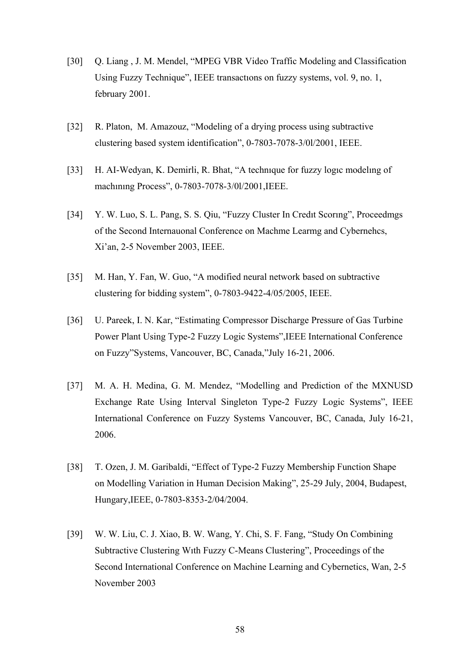- [30] Q. Liang , J. M. Mendel, "MPEG VBR Video Traffic Modeling and Classification Using Fuzzy Technique", IEEE transactıons on fuzzy systems, vol. 9, no. 1, february 2001.
- [32] R. Platon, M. Amazouz, "Modeling of a drying process using subtractive clustering based system identification", 0-7803-7078-3/0l/2001, IEEE.
- [33] H. AI-Wedyan, K. Demirli, R. Bhat, "A technique for fuzzy logic modeling of machınıng Process", 0-7803-7078-3/0l/2001,IEEE.
- [34] Y. W. Luo, S. L. Pang, S. S. Qiu, "Fuzzy Cluster In Credıt Scorıng", Proceedmgs of the Second Internauonal Conference on Machme Learmg and Cybernehcs, Xi'an, 2-5 November 2003, IEEE.
- [35] M. Han, Y. Fan, W. Guo, "A modified neural network based on subtractive clustering for bidding system", 0-7803-9422-4/05/2005, IEEE.
- [36] U. Pareek, I. N. Kar, "Estimating Compressor Discharge Pressure of Gas Turbine Power Plant Using Type-2 Fuzzy Logic Systems",IEEE International Conference on Fuzzy"Systems, Vancouver, BC, Canada,"July 16-21, 2006.
- [37] M. A. H. Medina, G. M. Mendez, "Modelling and Prediction of the MXNUSD Exchange Rate Using Interval Singleton Type-2 Fuzzy Logic Systems", IEEE International Conference on Fuzzy Systems Vancouver, BC, Canada, July 16-21, 2006.
- [38] T. Ozen, J. M. Garibaldi, "Effect of Type-2 Fuzzy Membership Function Shape on Modelling Variation in Human Decision Making", 25-29 July, 2004, Budapest, Hungary,IEEE, 0-7803-8353-2/04/2004.
- [39] W. W. Liu, C. J. Xiao, B. W. Wang, Y. Chi, S. F. Fang, "Study On Combining Subtractive Clustering Wıth Fuzzy C-Means Clustering", Proceedings of the Second International Conference on Machine Learning and Cybernetics, Wan, 2-5 November 2003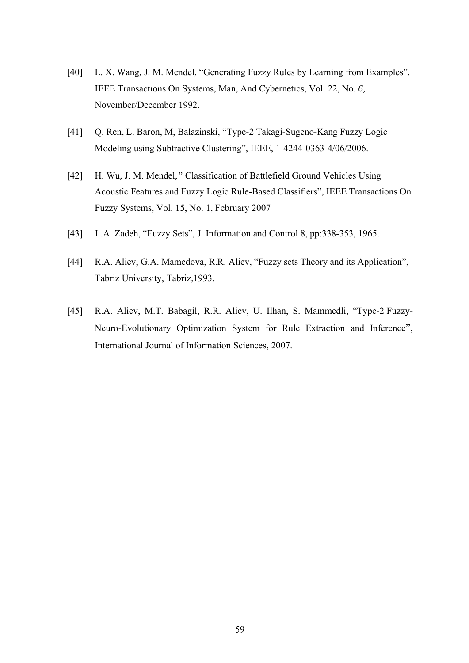- [40] L. X. Wang*,* J. M. Mendel, "Generating Fuzzy Rules by Learning from Examples", IEEE Transactıons On Systems, Man, And Cybernetıcs, Vol. 22, No. *6,*  November/December 1992.
- [41] Q. Ren, L. Baron, M, Balazinski, "Type-2 Takagi-Sugeno-Kang Fuzzy Logic Modeling using Subtractive Clustering", IEEE, 1-4244-0363-4/06/2006.
- [42] H. Wu*,* J. M. Mendel*,"* Classification of Battlefield Ground Vehicles Using Acoustic Features and Fuzzy Logic Rule-Based Classifiers", IEEE Transactions On Fuzzy Systems, Vol. 15, No. 1, February 2007
- [43] L.A. Zadeh, "Fuzzy Sets", J. Information and Control 8, pp:338-353, 1965.
- [44] R.A. Aliev, G.A. Mamedova, R.R. Aliev, "Fuzzy sets Theory and its Application", Tabriz University, Tabriz,1993.
- [45] R.A. Aliev, M.T. Babagil, R.R. Aliev, U. Ilhan, S. Mammedli, "Type-2 Fuzzy-Neuro-Evolutionary Optimization System for Rule Extraction and Inference", International Journal of Information Sciences, 2007.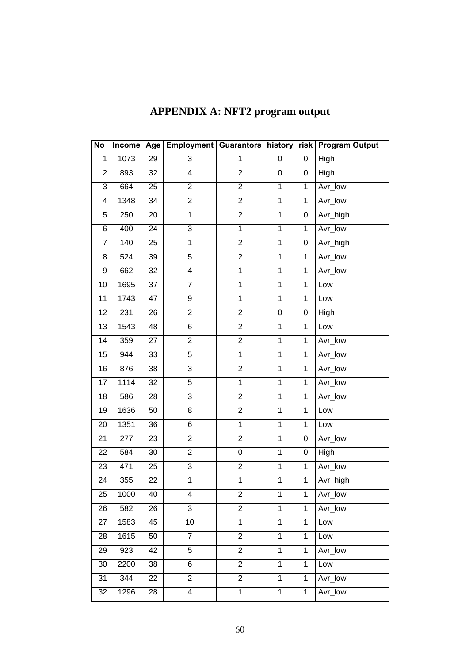| No              |      |    | Income   Age   Employment   Guarantors   history |                |                         | risk           | <b>Program Output</b> |
|-----------------|------|----|--------------------------------------------------|----------------|-------------------------|----------------|-----------------------|
| 1               | 1073 | 29 | 3                                                | $\mathbf 1$    | 0                       | 0              | High                  |
| $\overline{c}$  | 893  | 32 | $\overline{\mathbf{4}}$                          | $\overline{2}$ | 0                       | 0              | High                  |
| $\overline{3}$  | 664  | 25 | $\overline{2}$                                   | $\overline{2}$ | $\overline{1}$          | $\mathbf{1}$   | Avr_low               |
| 4               | 1348 | 34 | $\overline{2}$                                   | $\overline{2}$ | $\mathbf{1}$            | $\mathbf{1}$   | Avr_low               |
| 5               | 250  | 20 | $\overline{1}$                                   | $\overline{2}$ | $\overline{1}$          | 0              | Avr_high              |
| 6               | 400  | 24 | $\overline{3}$                                   | $\overline{1}$ | $\overline{1}$          | $\mathbf{1}$   | Avr_low               |
| $\overline{7}$  | 140  | 25 | $\mathbf{1}$                                     | $\overline{2}$ | $\mathbf 1$             | 0              | Avr_high              |
| 8               | 524  | 39 | $\overline{5}$                                   | $\overline{2}$ | $\mathbf{1}$            | $\mathbf{1}$   | Avr_low               |
| $\mathsf g$     | 662  | 32 | $\overline{4}$                                   | $\overline{1}$ | $\overline{1}$          | $\mathbf{1}$   | Avr_low               |
| 10              | 1695 | 37 | $\overline{7}$                                   | $\overline{1}$ | $\mathbf{1}$            | $\mathbf{1}$   | Low                   |
| 11              | 1743 | 47 | 9                                                | $\overline{1}$ | $\mathbf{1}$            | $\mathbf{1}$   | Low                   |
| 12              | 231  | 26 | $\overline{2}$                                   | $\overline{2}$ | $\overline{0}$          | $\pmb{0}$      | High                  |
| 13              | 1543 | 48 | 6                                                | $\overline{2}$ | $\mathbf{1}$            | $\mathbf 1$    | Low                   |
| 14              | 359  | 27 | $\overline{2}$                                   | $\overline{2}$ | $\overline{1}$          | $\mathbf{1}$   | Avr_low               |
| 15              | 944  | 33 | 5                                                | $\overline{1}$ | $\overline{1}$          | $\overline{1}$ | Avr_low               |
| 16              | 876  | 38 | $\overline{3}$                                   | $\overline{2}$ | $\overline{1}$          | $\overline{1}$ | Avr_low               |
| 17              | 1114 | 32 | 5                                                | $\overline{1}$ | $\overline{1}$          | $\mathbf{1}$   | Avr_low               |
| 18              | 586  | 28 | $\overline{3}$                                   | $\overline{2}$ | $\overline{1}$          | $\mathbf{1}$   | Avr_low               |
| 19              | 1636 | 50 | 8                                                | $\overline{2}$ | $\mathbf{1}$            | 1              | Low                   |
| 20              | 1351 | 36 | 6                                                | $\mathbf{1}$   | $\mathbf{1}$            | 1              | Low                   |
| 21              | 277  | 23 | $\overline{2}$                                   | $\overline{2}$ | $\mathbf{1}$            | $\pmb{0}$      | Avr_low               |
| 22              | 584  | 30 | $\overline{2}$                                   | 0              | $\overline{1}$          | 0              | High                  |
| 23              | 471  | 25 | 3                                                | $\overline{c}$ | $\overline{1}$          | 1              | Avr_low               |
| 24              | 355  | 22 | $\mathbf 1$                                      | $\mathbf 1$    | $\overline{\mathbf{1}}$ | 1              | Avr_high              |
| $\overline{25}$ | 1000 | 40 | 4                                                | 2              | 1                       | 1              | Avr_low               |
| 26              | 582  | 26 | 3                                                | $\overline{2}$ | $\mathbf 1$             | 1              | Avr_low               |
| 27              | 1583 | 45 | 10                                               | $\mathbf{1}$   | $\mathbf{1}$            | $\mathbf{1}$   | Low                   |
| 28              | 1615 | 50 | $\overline{7}$                                   | $\overline{2}$ | $\overline{1}$          | $\mathbf{1}$   | Low                   |
| 29              | 923  | 42 | $\overline{5}$                                   | $\overline{2}$ | $\mathbf{1}$            | 1              | Avr_low               |
| 30              | 2200 | 38 | 6                                                | $\overline{2}$ | $\mathbf{1}$            | $\mathbf{1}$   | Low                   |
| 31              | 344  | 22 | $\overline{2}$                                   | $\overline{2}$ | $\mathbf{1}$            | $\mathbf{1}$   | Avr_low               |
| 32              | 1296 | 28 | 4                                                | $\mathbf{1}$   | $\mathbf{1}$            | 1              | Avr_low               |

# **APPENDIX A: NFT2 program output**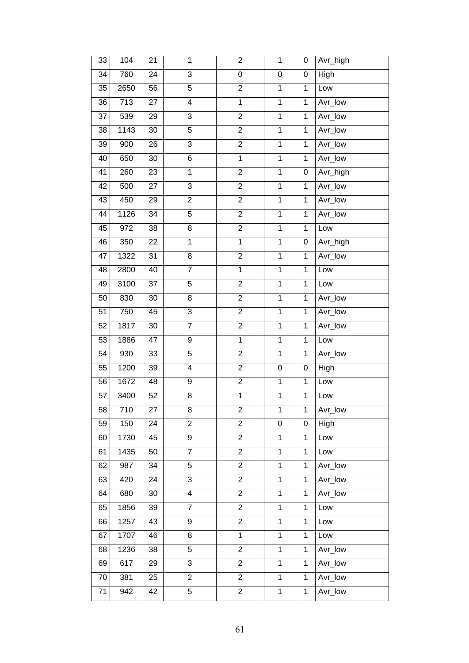| 33 | 104               | 21              | 1              | $\overline{2}$ | $\mathbf{1}$   | 0            | Avr_high |
|----|-------------------|-----------------|----------------|----------------|----------------|--------------|----------|
| 34 | 760               | 24              | $\overline{3}$ | 0              | 0              | $\pmb{0}$    | High     |
| 35 | 2650              | 56              | $\overline{5}$ | $\overline{2}$ | $\overline{1}$ | $\mathbf{1}$ | Low      |
| 36 | 713               | 27              | $\overline{4}$ | $\overline{1}$ | $\overline{1}$ | $\mathbf{1}$ | Avr_low  |
| 37 | 539               | 29              | $\overline{3}$ | $\overline{2}$ | $\overline{1}$ | $\mathbf 1$  | Avr_low  |
| 38 | 1143              | 30              | $\overline{5}$ | $\overline{2}$ | $\mathbf{1}$   | $\mathbf 1$  | Avr_low  |
| 39 | 900               | 26              | $\overline{3}$ | $\overline{2}$ | $\overline{1}$ | $\mathbf{1}$ | Avr_low  |
| 40 | 650               | 30              | $\overline{6}$ | $\overline{1}$ | $\overline{1}$ | $\mathbf{1}$ | Avr_low  |
| 41 | 260               | 23              | $\overline{1}$ | $\overline{2}$ | $\overline{1}$ | 0            | Avr_high |
| 42 | 500               | 27              | 3              | $\overline{2}$ | $\overline{1}$ | $\mathbf{1}$ | Avr_low  |
| 43 | 450               | 29              | $\overline{2}$ | $\overline{2}$ | $\overline{1}$ | $\mathbf{1}$ | Avr_low  |
| 44 | 1126              | 34              | 5              | $\overline{2}$ | $\overline{1}$ | $\mathbf{1}$ | Avr_low  |
| 45 | 972               | 38              | 8              | $\overline{2}$ | $\overline{1}$ | $\mathbf{1}$ | Low      |
| 46 | 350               | 22              | $\overline{1}$ | $\overline{1}$ | $\overline{1}$ | 0            | Avr_high |
| 47 | 1322              | 31              | 8              | $\overline{2}$ | $\mathbf{1}$   | $\mathbf{1}$ | Avr_low  |
| 48 | 2800              | 40              | $\overline{7}$ | $\mathbf{1}$   | $\mathbf{1}$   | $\mathbf{1}$ | Low      |
| 49 | $\overline{31}00$ | 37              | $\overline{5}$ | $\overline{2}$ | $\overline{1}$ | 1            | Low      |
| 50 | 830               | 30              | 8              | $\overline{2}$ | $\mathbf{1}$   | $\mathbf{1}$ | Avr_low  |
| 51 | 750               | 45              | 3              | $\overline{c}$ | $\mathbf{1}$   | 1            | Avr_low  |
| 52 | 1817              | 30              | $\overline{7}$ | $\overline{2}$ | $\overline{1}$ | $\mathbf{1}$ | Avr_low  |
| 53 | 1886              | 47              | 9              | $\mathbf{1}$   | $\mathbf 1$    | 1            | Low      |
| 54 | 930               | 33              | 5              | $\overline{c}$ | $\mathbf{1}$   | 1            | Avr_low  |
| 55 | 1200              | 39              | 4              | $\overline{2}$ | 0              | 0            | High     |
| 56 | 1672              | 48              | 9              | $\overline{c}$ | $\mathbf{1}$   | 1            | Low      |
| 57 | 3400              | 52              | 8              | $\mathbf 1$    | $\mathbf 1$    | $\mathbf 1$  | Low      |
| 58 | 710               | $\overline{27}$ | 8              | $\overline{2}$ | 1              | 1            | Avr_low  |
| 59 | 150               | 24              | $\overline{c}$ | $\overline{c}$ | 0              | 0            | High     |
| 60 | 1730              | 45              | 9              | $\overline{2}$ | $\overline{1}$ | $\mathbf{1}$ | Low      |
| 61 | 1435              | 50              | $\overline{7}$ | $\overline{2}$ | $\mathbf{1}$   | $\mathbf{1}$ | Low      |
| 62 | 987               | 34              | 5              | $\overline{2}$ | $\mathbf{1}$   | $\mathbf{1}$ | Avr_low  |
| 63 | 420               | 24              | 3              | $\overline{2}$ | $\mathbf{1}$   | $\mathbf{1}$ | Avr_low  |
| 64 | 680               | 30              | $\overline{4}$ | $\overline{2}$ | $\overline{1}$ | $\mathbf{1}$ | Avr_low  |
| 65 | 1856              | 39              | $\overline{7}$ | $\overline{2}$ | $\mathbf{1}$   | $\mathbf{1}$ | Low      |
| 66 | 1257              | 43              | 9              | $\overline{2}$ | $\mathbf{1}$   | 1            | Low      |
| 67 | 1707              | 46              | 8              | $\overline{1}$ | $\overline{1}$ | $\mathbf{1}$ | Low      |
| 68 | 1236              | 38              | $\overline{5}$ | $\overline{2}$ | $\overline{1}$ | $\mathbf{1}$ | Avr_low  |
| 69 | 617               | 29              | 3              | $\overline{2}$ | $\mathbf{1}$   | $\mathbf{1}$ | Avr_low  |
| 70 | 381               | 25              | $\overline{2}$ | $\overline{2}$ | $\overline{1}$ | $\mathbf{1}$ | Avr_low  |
| 71 | 942               | 42              | 5              | $\overline{a}$ | $\mathbf 1$    | $\mathbf{1}$ | Avr_low  |
|    |                   |                 |                |                |                |              |          |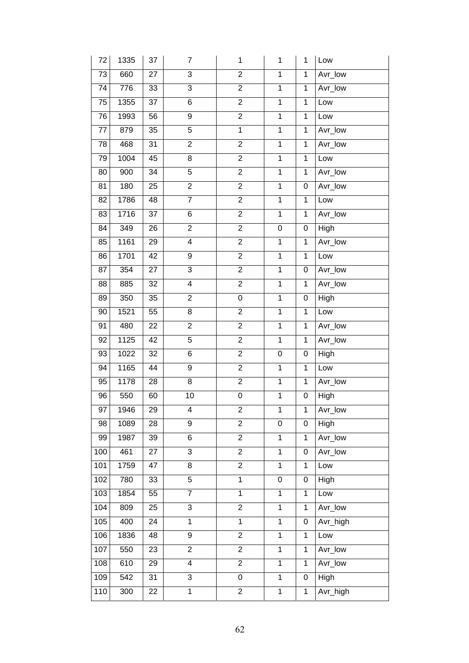| 72  | 1335 | 37              | $\overline{7}$          | $\mathbf{1}$   | $\mathbf{1}$   | 1              | Low      |
|-----|------|-----------------|-------------------------|----------------|----------------|----------------|----------|
| 73  | 660  | 27              | $\overline{3}$          | $\overline{2}$ | $\overline{1}$ | $\mathbf{1}$   | Avr_low  |
| 74  | 776  | 33              | $\overline{3}$          | $\overline{2}$ | $\overline{1}$ | $\mathbf{1}$   | Avr_low  |
| 75  | 1355 | 37              | $\overline{6}$          | $\overline{2}$ | $\overline{1}$ | $\mathbf{1}$   | Low      |
| 76  | 1993 | 56              | $\overline{9}$          | $\overline{2}$ | $\overline{1}$ | $\mathbf{1}$   | Low      |
| 77  | 879  | 35              | $\overline{5}$          | $\overline{1}$ | $\overline{1}$ | 1              | Avr_low  |
| 78  | 468  | $\overline{31}$ | $\overline{2}$          | $\overline{2}$ | $\overline{1}$ | $\mathbf{1}$   | Avr_low  |
| 79  | 1004 | 45              | $\overline{8}$          | $\overline{2}$ | $\overline{1}$ | $\mathbf{1}$   | Low      |
| 80  | 900  | 34              | $\overline{5}$          | $\overline{2}$ | $\overline{1}$ | 1              | Avr_low  |
| 81  | 180  | 25              | $\overline{2}$          | $\overline{2}$ | $\overline{1}$ | 0              | Avr_low  |
| 82  | 1786 | 48              | $\overline{7}$          | $\overline{2}$ | $\overline{1}$ | $\mathbf{1}$   | Low      |
| 83  | 1716 | 37              | 6                       | $\overline{2}$ | $\overline{1}$ | 1              | Avr_low  |
| 84  | 349  | 26              | $\overline{2}$          | $\overline{2}$ | 0              | $\pmb{0}$      | High     |
| 85  | 1161 | 29              | $\overline{\mathbf{4}}$ | $\overline{2}$ | $\overline{1}$ | $\mathbf{1}$   | Avr_low  |
| 86  | 1701 | 42              | 9                       | $\overline{2}$ | $\mathbf{1}$   | $\mathbf{1}$   | Low      |
| 87  | 354  | 27              | 3                       | $\overline{2}$ | $\mathbf{1}$   | 0              | Avr_low  |
| 88  | 885  | 32              | 4                       | $\overline{2}$ | $\overline{1}$ | 1              | Avr_low  |
| 89  | 350  | 35              | $\overline{c}$          | 0              | $\mathbf{1}$   | 0              | High     |
| 90  | 1521 | 55              | 8                       | $\overline{2}$ | $\mathbf{1}$   | 1              | Low      |
| 91  | 480  | 22              | $\overline{2}$          | $\overline{2}$ | $\overline{1}$ | $\mathbf 1$    | Avr_low  |
| 92  | 1125 | 42              | 5                       | $\overline{2}$ | $\mathbf{1}$   | 1              | Avr_low  |
| 93  | 1022 | 32              | 6                       | $\overline{c}$ | 0              | 0              | High     |
| 94  | 1165 | 44              | 9                       | $\overline{2}$ | $\overline{1}$ | 1              | Low      |
| 95  | 1178 | 28              | 8                       | $\overline{c}$ | $\mathbf{1}$   | 1              | Avr_low  |
| 96  | 550  | 60              | 10                      | 0              | $\mathbf 1$    | 0              | High     |
| 97  | 1946 | $\overline{29}$ | 4                       | $\overline{2}$ | 1              | $\overline{1}$ | Avr_low  |
| 98  | 1089 | 28              | 9                       | $\overline{c}$ | 0              | 0              | High     |
| 99  | 1987 | 39              | 6                       | $\overline{2}$ | $\overline{1}$ | 1              | Avr_low  |
| 100 | 461  | $\overline{27}$ | $\overline{3}$          | $\overline{2}$ | $\mathbf{1}$   | 0              | Avr_low  |
| 101 | 1759 | 47              | 8                       | $\overline{2}$ | $\mathbf{1}$   | 1              | Low      |
| 102 | 780  | 33              | $\overline{5}$          | $\mathbf 1$    | 0              | 0              | High     |
| 103 | 1854 | 55              | $\overline{7}$          | $\overline{1}$ | $\overline{1}$ | $\mathbf{1}$   | Low      |
| 104 | 809  | 25              | 3                       | $\overline{2}$ | $\mathbf{1}$   | 1              | Avr_low  |
| 105 | 400  | 24              | $\mathbf{1}$            | $\mathbf{1}$   | $\mathbf{1}$   | 0              | Avr_high |
| 106 | 1836 | 48              | $\overline{9}$          | $\overline{2}$ | $\overline{1}$ | $\mathbf{1}$   | Low      |
| 107 | 550  | 23              | $\overline{2}$          | $\overline{2}$ | $\overline{1}$ | $\mathbf{1}$   | Avr_low  |
| 108 | 610  | 29              | $\overline{\mathbf{4}}$ | $\overline{2}$ | $\mathbf{1}$   | $\mathbf{1}$   | Avr_low  |
| 109 | 542  | 31              | $\overline{3}$          | 0              | $\overline{1}$ | $\pmb{0}$      | High     |
| 110 | 300  | 22              | $\mathbf 1$             | $\overline{2}$ | $\mathbf{1}$   | $\mathbf{1}$   | Avr_high |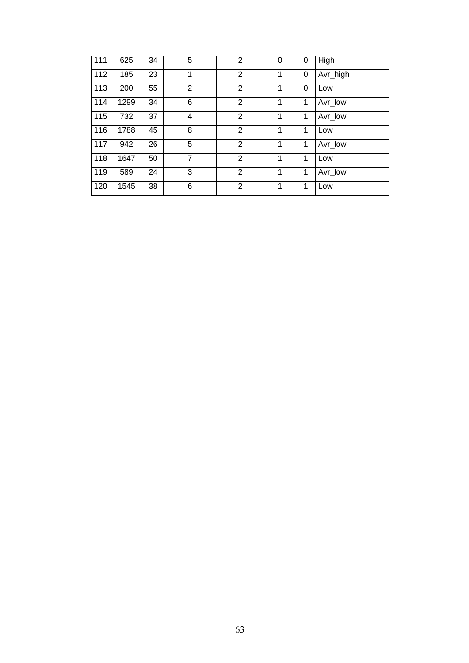| 111 | 625  | 34 | 5              | $\overline{2}$ | 0 | 0 | High     |
|-----|------|----|----------------|----------------|---|---|----------|
| 112 | 185  | 23 | 1              | $\overline{2}$ | 1 | 0 | Avr_high |
| 113 | 200  | 55 | $\overline{2}$ | $\overline{2}$ | 1 | 0 | Low      |
| 114 | 1299 | 34 | 6              | $\overline{2}$ | 1 | 1 | Avr_low  |
| 115 | 732  | 37 | 4              | $\overline{2}$ | 1 | 1 | Avr_low  |
| 116 | 1788 | 45 | 8              | $\overline{2}$ | 1 | 1 | Low      |
| 117 | 942  | 26 | 5              | 2              | 1 | 1 | Avr low  |
| 118 | 1647 | 50 | $\overline{7}$ | 2              | 1 | 1 | Low      |
| 119 | 589  | 24 | 3              | $\overline{2}$ | 1 | 1 | Avr_low  |
| 120 | 1545 | 38 | 6              | 2              | 1 | 1 | Low      |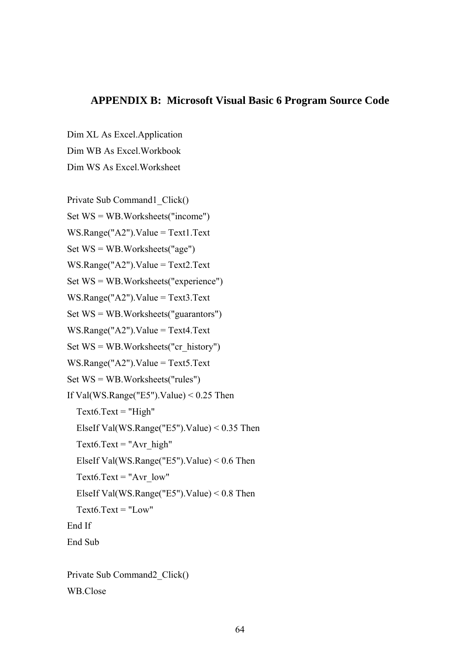#### **APPENDIX B: Microsoft Visual Basic 6 Program Source Code**

Dim XL As Excel.Application

Dim WB As Excel.Workbook

Dim WS As Excel.Worksheet

Private Sub Command1\_Click() Set WS = WB.Worksheets("income") WS.Range("A2").Value = Text1.Text Set WS = WB.Worksheets("age") WS.Range("A2").Value = Text2.Text Set WS = WB.Worksheets("experience") WS.Range("A2").Value = Text3.Text Set WS = WB.Worksheets("guarantors") WS.Range("A2").Value = Text4.Text Set  $WS = WB$ . Worksheets("cr\_history") WS.Range("A2").Value = Text5.Text Set WS = WB.Worksheets("rules") If Val(WS.Range("E5").Value)  $< 0.25$  Then  $Text6.Text = "High"$  ElseIf Val(WS.Range("E5").Value) < 0.35 Then Text $6.$ Text = "Avr\_high" ElseIf Val(WS.Range("E5").Value) < 0.6 Then Text $6.$ Text = "Avr low" ElseIf Val(WS.Range("E5").Value) < 0.8 Then Text $6$  Text = "Low" End If End Sub Private Sub Command2\_Click()

WB.Close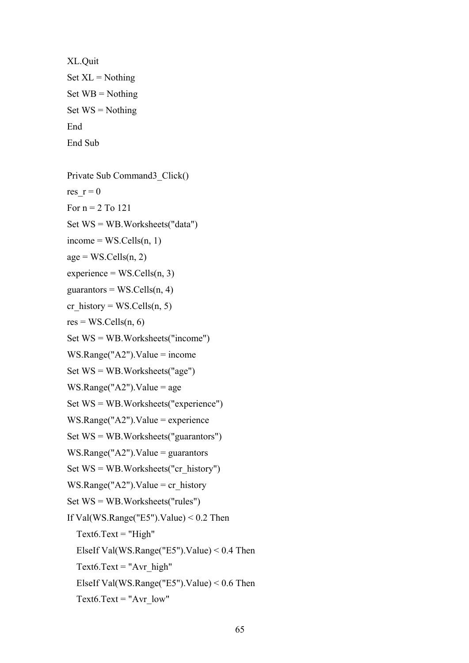```
XL.Quit 
Set \, XL = NothingSet WB = \text{Nothing}Set WS = \text{Nothing}End 
End Sub
```
Private Sub Command3\_Click() res  $r = 0$ For  $n = 2$  To 121 Set WS = WB.Worksheets("data")  $income = WS.Cells(n, 1)$  $age = WS.Cells(n, 2)$  $experience = WS.Cells(n, 3)$ guarantors =  $WS$ . Cells(n, 4) cr\_history = WS.Cells(n, 5)  $res = WS.Cells(n, 6)$ Set WS = WB.Worksheets("income") WS.Range("A2").Value = income Set WS = WB.Worksheets("age")  $WS.Range("A2")$ .Value = age Set WS = WB.Worksheets("experience") WS.Range("A2").Value = experience Set WS = WB.Worksheets("guarantors") WS.Range(" $A2$ ").Value = guarantors Set  $WS = WB$ . Worksheets("cr\_history") WS.Range("A2").Value = cr\_history Set WS = WB.Worksheets("rules") If Val(WS.Range("E5").Value)  $< 0.2$  Then  $Text6.Text = "High"$  ElseIf Val(WS.Range("E5").Value) < 0.4 Then Text $6.$ Text = "Avr\_high" ElseIf Val(WS.Range("E5").Value) < 0.6 Then Text $6.$ Text = "Avr  $low"$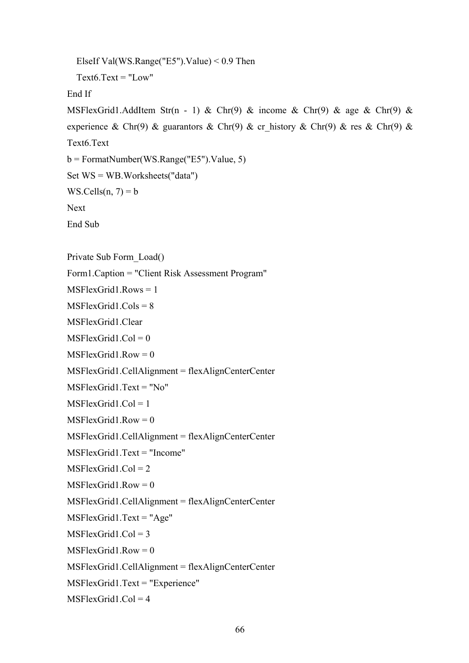```
 ElseIf Val(WS.Range("E5").Value) < 0.9 Then 
  Text6.Text = "Low"End If 
MSFlexGrid1.AddItem Str(n - 1) & Chr(9) & income & Chr(9) & age & Chr(9) &
experience & Chr(9) & guarantors & Chr(9) & cr_history & Chr(9) & res & Chr(9) &
Text6.Text 
b = \text{FormatNumber(WS.Range("E5").Value, 5)}Set WS = WB.Worksheets("data") 
WS.Cells(n, 7) = bNext 
End Sub 
Private Sub Form_Load() 
Form1.Caption = "Client Risk Assessment Program" 
MSFlexGrid1. Rows = 1
MSFlexGrid1 Cols = 8
MSFlexGrid1.Clear 
MSFlexGrid1.Col = 0MSFlexGrid1.Row = 0MSFlexGrid1.CellAlignment = flexAlignCenterCenter 
MSFlexGrid1~Text = "No"MSFlexGrid1. Col = 1
MSFlexGrid1.Row = 0MSFlexGrid1.CellAlignment = flexAlignCenterCenter 
MSFlexGrid1.Text = "Income" 
MSFlexGrid1.Col = 2MSFlexGrid1.Row = 0MSFlexGrid1.CellAlignment = flexAlignCenterCenter 
MSFlexGrid1.Text = "Age" 
MSFlexGrid1.Col = 3MSFlexGrid1.Row = 0MSFlexGrid1.CellAlignment = flexAlignCenterCenter 
MSFlexGrid1.Text = "Experience" 
MSFlexGrid1.Col = 4
```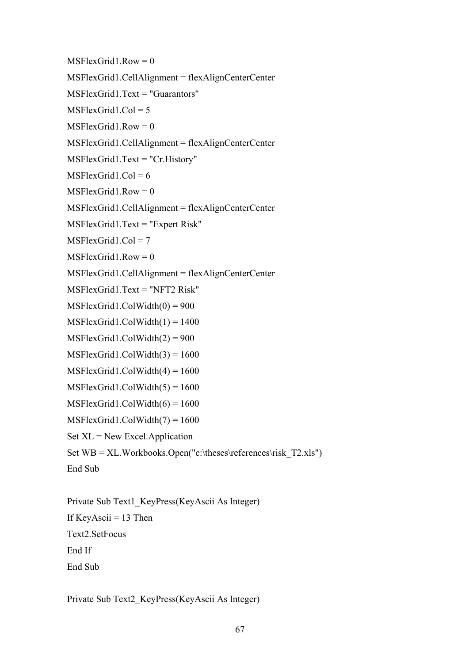$MSElexGrid1.Row = 0$ MSFlexGrid1.CellAlignment = flexAlignCenterCenter MSFlexGrid1.Text = "Guarantors" MSFlexGrid1. $Col = 5$  $MSFlexGrid1.Row = 0$ MSFlexGrid1.CellAlignment = flexAlignCenterCenter MSFlexGrid1.Text = "Cr.History"  $MSFlexGrid1$ .Col = 6  $MSFlexGrid1.Row = 0$ MSFlexGrid1.CellAlignment = flexAlignCenterCenter MSFlexGrid1.Text = "Expert Risk"  $MSFlexGrid1$ . $Col = 7$  $MSFlexGrid1.Row = 0$ MSFlexGrid1.CellAlignment = flexAlignCenterCenter MSFlexGrid1.Text = "NFT2 Risk"  $MSFlexGrid1.ColWidth(0) = 900$  $MSFlexGrid1.ColWidth(1) = 1400$  $MSFlexGrid1.ColWidth(2) = 900$  $MSFlexGrid1.ColWidth(3) = 1600$  $MSFlexGrid1.ColWidth(4) = 1600$  $MSFlexGrid1.ColWidth(5) = 1600$  $MSFlexGrid1.ColWidth(6) = 1600$ MSFlexGrid1.ColWidth(7) = 1600  $Set \, XL = New Excel. Application$ Set  $WB = XL.Workbooks.Open("c:\these\references\risk T2.xls")$ End Sub

Private Sub Text1\_KeyPress(KeyAscii As Integer) If KeyAscii  $= 13$  Then Text2.SetFocus End If End Sub

Private Sub Text2\_KeyPress(KeyAscii As Integer)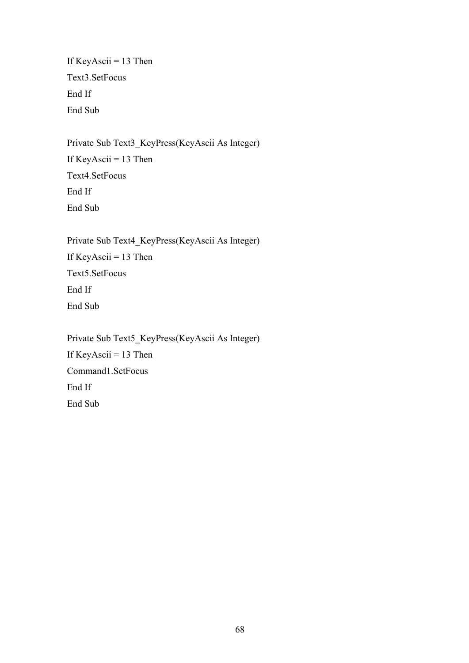If KeyAscii =  $13$  Then Text3.SetFocus End If End Sub

Private Sub Text3\_KeyPress(KeyAscii As Integer) If KeyAscii =  $13$  Then Text4.SetFocus End If End Sub

Private Sub Text4\_KeyPress(KeyAscii As Integer) If KeyAscii =  $13$  Then Text5.SetFocus End If End Sub

Private Sub Text5\_KeyPress(KeyAscii As Integer) If KeyAscii = 13 Then Command1.SetFocus End If End Sub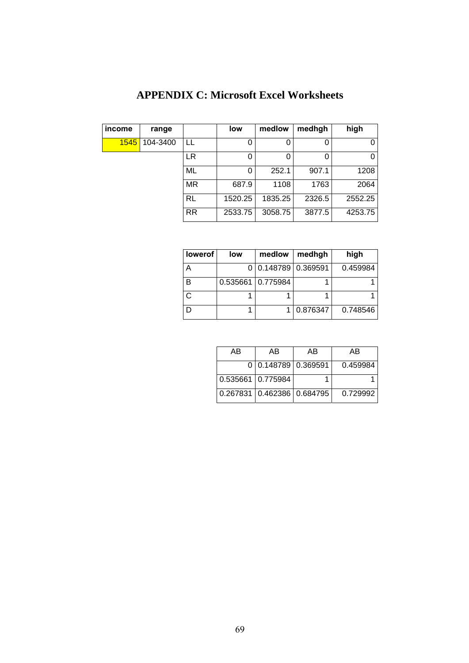| income | range    |           | low     | medlow  | medhgh | high    |
|--------|----------|-----------|---------|---------|--------|---------|
| 1545   | 104-3400 | LL        | 0       | 0       |        | 0       |
|        |          | <b>LR</b> | 0       | 0       |        | 0       |
|        |          | ML        | 0       | 252.1   | 907.1  | 1208    |
|        |          | <b>MR</b> | 687.9   | 1108    | 1763   | 2064    |
|        |          | <b>RL</b> | 1520.25 | 1835.25 | 2326.5 | 2552.25 |
|        |          | <b>RR</b> | 2533.75 | 3058.75 | 3877.5 | 4253.75 |

## **APPENDIX C: Microsoft Excel Worksheets**

| lowerof | low | medlow              | medhgh   | high     |
|---------|-----|---------------------|----------|----------|
| Α       |     | 0 0.148789 0.369591 |          | 0.459984 |
| в       |     | 0.535661 0.775984   |          |          |
|         |     |                     |          |          |
| D       |     |                     | 0.876347 | 0.748546 |

| AB                | AB                         | AB | AΒ       |
|-------------------|----------------------------|----|----------|
|                   | 0 0.148789 0.369591        |    | 0.459984 |
| 0.535661 0.775984 |                            |    |          |
|                   | 0.267831 0.462386 0.684795 |    | 0.729992 |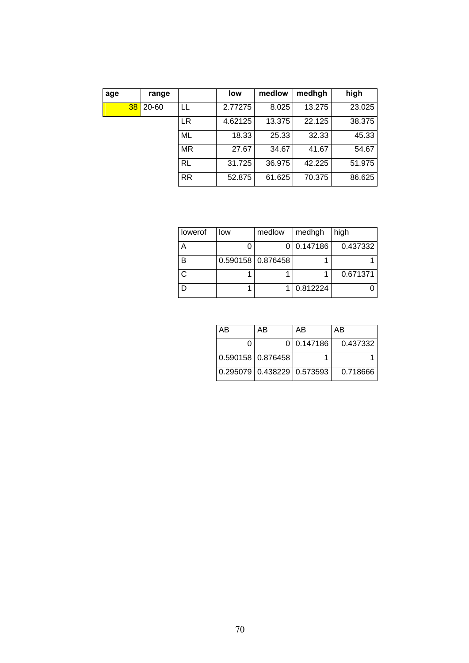| age |                 | range |           | low     | medlow | medhgh | high   |
|-----|-----------------|-------|-----------|---------|--------|--------|--------|
|     | 38 <sup>1</sup> | 20-60 | LL        | 2.77275 | 8.025  | 13.275 | 23.025 |
|     |                 |       | LR        | 4.62125 | 13.375 | 22.125 | 38.375 |
|     |                 |       | ML        | 18.33   | 25.33  | 32.33  | 45.33  |
|     |                 |       | <b>MR</b> | 27.67   | 34.67  | 41.67  | 54.67  |
|     |                 |       | RL        | 31.725  | 36.975 | 42.225 | 51.975 |
|     |                 |       | <b>RR</b> | 52.875  | 61.625 | 70.375 | 86.625 |

| lowerof | low | medlow              | medhgh     | high     |
|---------|-----|---------------------|------------|----------|
|         |     |                     | 0 0.147186 | 0.437332 |
| в       |     | 0.590158   0.876458 |            |          |
|         |     |                     |            | 0.671371 |
|         |     |                     | 0.812224   |          |

| AB | AB                               | AB         | AB       |
|----|----------------------------------|------------|----------|
|    |                                  | 0 0.147186 | 0.437332 |
|    | $0.590158$ $0.876458$            |            |          |
|    | $0.295079$ $0.438229$ $0.573593$ |            | 0.718666 |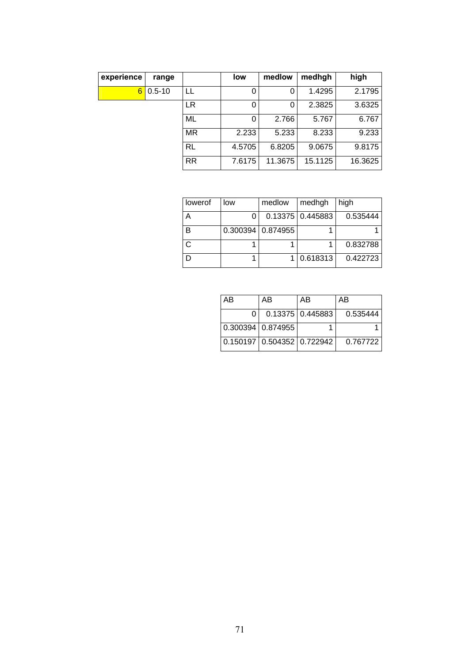| experience | range      |           | low    | medlow  | medhgh  | high    |
|------------|------------|-----------|--------|---------|---------|---------|
| 6          | $0.5 - 10$ | LL        | 0      |         | 1.4295  | 2.1795  |
|            |            | LR        | 0      | 0       | 2.3825  | 3.6325  |
|            |            | ML        | 0      | 2.766   | 5.767   | 6.767   |
|            |            | <b>MR</b> | 2.233  | 5.233   | 8.233   | 9.233   |
|            |            | <b>RL</b> | 4.5705 | 6.8205  | 9.0675  | 9.8175  |
|            |            | <b>RR</b> | 7.6175 | 11.3675 | 15.1125 | 16.3625 |

| lowerof                  | low                 | medlow | medhgh             | high     |
|--------------------------|---------------------|--------|--------------------|----------|
| $\overline{\phantom{a}}$ |                     |        | 0.13375   0.445883 | 0.535444 |
| в                        | $0.300394$ 0.874955 |        |                    |          |
|                          |                     |        |                    | 0.832788 |
|                          |                     |        | 0.618313           | 0.422723 |

| AB                  | AB                             | AB                   | AB       |
|---------------------|--------------------------------|----------------------|----------|
|                     |                                | $0.13375$ $0.445883$ | 0.535444 |
| 0.300394   0.874955 |                                |                      |          |
|                     | 0.150197   0.504352   0.722942 |                      | 0.767722 |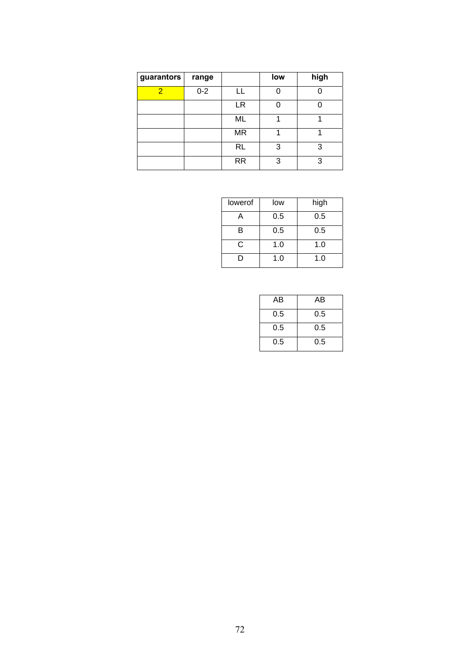| guarantors     | range   |           | low | high |
|----------------|---------|-----------|-----|------|
| $\overline{2}$ | $0 - 2$ | H.        |     |      |
|                |         | LR        |     |      |
|                |         | ML        |     |      |
|                |         | <b>MR</b> |     |      |
|                |         | <b>RL</b> | 3   | 3    |
|                |         | <b>RR</b> | 3   | 3    |

| lowerof | low | high |
|---------|-----|------|
|         | 0.5 | 0.5  |
| в       | 0.5 | 0.5  |
| C       | 1.0 | 1.0  |
|         | 1.0 | 1.0  |

| AB  | AB  |
|-----|-----|
| 0.5 | 0.5 |
| 0.5 | 0.5 |
| 0.5 | 0.5 |